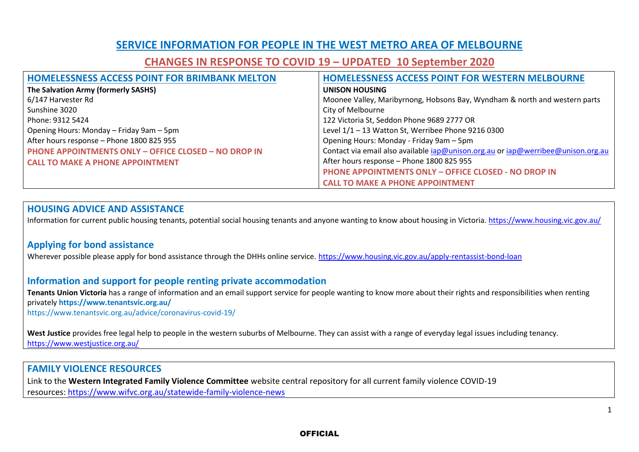## **SERVICE INFORMATION FOR PEOPLE IN THE WEST METRO AREA OF MELBOURNE**

# **CHANGES IN RESPONSE TO COVID 19 – UPDATED 10 September 2020**

| <b>HOMELESSNESS ACCESS POINT FOR BRIMBANK MELTON</b>        | <b>HOMELESSNESS ACCESS POINT FOR WESTERN MELBOURNE</b>                           |
|-------------------------------------------------------------|----------------------------------------------------------------------------------|
| The Salvation Army (formerly SASHS)                         | <b>UNISON HOUSING</b>                                                            |
| 6/147 Harvester Rd                                          | Moonee Valley, Maribyrnong, Hobsons Bay, Wyndham & north and western parts       |
| Sunshine 3020                                               | City of Melbourne                                                                |
| Phone: 9312 5424                                            | 122 Victoria St, Seddon Phone 9689 2777 OR                                       |
| Opening Hours: Monday - Friday 9am - 5pm                    | Level 1/1 - 13 Watton St, Werribee Phone 9216 0300                               |
| After hours response - Phone 1800 825 955                   | Opening Hours: Monday - Friday 9am - 5pm                                         |
| <b>PHONE APPOINTMENTS ONLY - OFFICE CLOSED - NO DROP IN</b> | Contact via email also available iap@unison.org.au or iap@werribee@unison.org.au |
| <b>CALL TO MAKE A PHONE APPOINTMENT</b>                     | After hours response - Phone 1800 825 955                                        |
|                                                             | <b>PHONE APPOINTMENTS ONLY - OFFICE CLOSED - NO DROP IN</b>                      |
|                                                             | <b>CALL TO MAKE A PHONE APPOINTMENT</b>                                          |

#### **HOUSING ADVICE AND ASSISTANCE**

Information for current public housing tenants, potential social housing tenants and anyone wanting to know about housing in Victoria. <https://www.housing.vic.gov.au/>

#### **Applying for bond assistance**

Wherever possible please apply for bond assistance through the DHHs online service. <https://www.housing.vic.gov.au/apply-rentassist-bond-loan>

#### **Information and support for people renting private accommodation**

**Tenants Union Victoria** has a range of information and an email support service for people wanting to know more about their rights and responsibilities when renting privately **https://www.tenantsvic.org.au/**

<https://www.tenantsvic.org.au/advice/coronavirus-covid-19/>

**West Justice** provides free legal help to people in the western suburbs of Melbourne. They can assist with a range of everyday legal issues including tenancy. <https://www.westjustice.org.au/>

#### **FAMILY VIOLENCE RESOURCES**

Link to the **Western Integrated Family Violence Committee** website central repository for all current family violence COVID-19 resources: [https://www.wifvc.org.au/statewide-family-violence-news](https://urldefense.proofpoint.com/v2/url?u=https-3A__www.wifvc.org.au_statewide-2Dfamily-2Dviolence-2Dnews&d=DwMF-g&c=JnBkUqWXzx2bz-3a05d47Q&r=GJx6ScS1mY9v3oHOkaz5jRHFAsiCPgSWe75ypjLHIh4&m=hzv0qWsnDpXGLTecSciKmNgVBV5-p-FD6Ia7mwn4h1w&s=WcQU_Q2eTxY3MQnBh80QKDHcZLP4XeoPW59DKXt09gg&e=)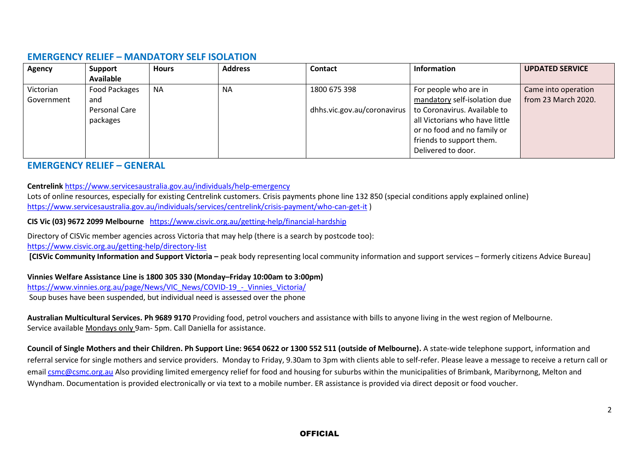#### **EMERGENCY RELIEF – MANDATORY SELF ISOLATION**

| Agency     | Support          | <b>Hours</b> | <b>Address</b> | <b>Contact</b> | Information                                                | <b>UPDATED SERVICE</b> |
|------------|------------------|--------------|----------------|----------------|------------------------------------------------------------|------------------------|
|            | <b>Available</b> |              |                |                |                                                            |                        |
| Victorian  | Food Packages    | <b>NA</b>    | <b>NA</b>      | 1800 675 398   | For people who are in                                      | Came into operation    |
| Government | and              |              |                |                | mandatory self-isolation due                               | from 23 March 2020.    |
|            | Personal Care    |              |                |                | dhhs.vic.gov.au/coronavirus   to Coronavirus. Available to |                        |
|            | packages         |              |                |                | all Victorians who have little                             |                        |
|            |                  |              |                |                | or no food and no family or                                |                        |
|            |                  |              |                |                | friends to support them.                                   |                        |
|            |                  |              |                |                | Delivered to door.                                         |                        |

#### **EMERGENCY RELIEF – GENERAL**

**Centrelink** <https://www.servicesaustralia.gov.au/individuals/help-emergency>

Lots of online resources, especially for existing Centrelink customers. Crisis payments phone line 132 850 (special conditions apply explained online) <https://www.servicesaustralia.gov.au/individuals/services/centrelink/crisis-payment/who-can-get-it> )

**CIS Vic (03) 9672 2099 Melbourne** <https://www.cisvic.org.au/getting-help/financial-hardship>

Directory of CISVic member agencies across Victoria that may help (there is a search by postcode too):

<https://www.cisvic.org.au/getting-help/directory-list>

**[CISVic Community Information and Support Victoria** – peak body representing local community information and support services – formerly citizens Advice Bureau]

**Vinnies Welfare Assistance Line is 1800 305 330 (Monday–Friday 10:00am to 3:00pm)** [https://www.vinnies.org.au/page/News/VIC\\_News/COVID-19\\_-\\_Vinnies\\_Victoria/](https://www.vinnies.org.au/page/News/VIC_News/COVID-19_-_Vinnies_Victoria/) Soup buses have been suspended, but individual need is assessed over the phone

**Australian Multicultural Services. Ph 9689 9170** Providing food, petrol vouchers and assistance with bills to anyone living in the west region of Melbourne. Service available Mondays only 9am- 5pm. Call Daniella for assistance.

**Council of Single Mothers and their Children. Ph Support Line: 9654 0622 or 1300 552 511 (outside of Melbourne).** A state-wide telephone support, information and referral service for single mothers and service providers. Monday to Friday, 9.30am to 3pm with clients able to self-refer. Please leave a message to receive a return call or email [csmc@csmc.org.au](mailto:csmc@csmc.org.au) Also providing limited emergency relief for food and housing for suburbs within the municipalities of Brimbank, Maribyrnong, Melton and Wyndham. Documentation is provided electronically or via text to a mobile number. ER assistance is provided via direct deposit or food voucher.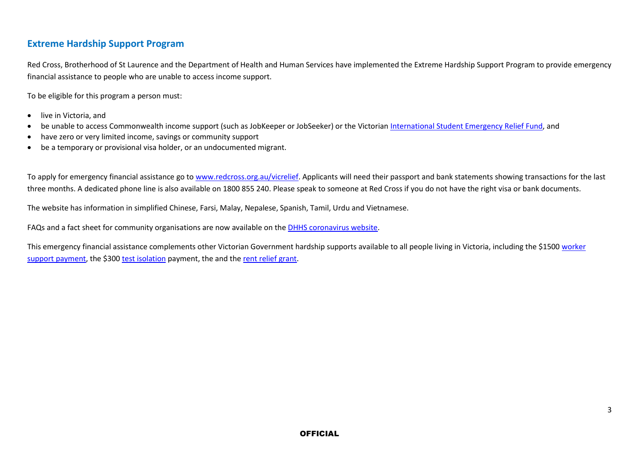#### **Extreme Hardship Support Program**

Red Cross, Brotherhood of St Laurence and the Department of Health and Human Services have implemented the Extreme Hardship Support Program to provide emergency financial assistance to people who are unable to access income support.

To be eligible for this program a person must:

- live in Victoria, and
- be unable to access Commonwealth income support (such as JobKeeper or JobSeeker) or the Victorian [International Student Emergency Relief Fund,](https://www.studymelbourne.vic.gov.au/news-updates/international-student-emergency-relief-fund) and
- have zero or very limited income, savings or community support
- be a temporary or provisional visa holder, or an undocumented migrant.

To apply for emergency financial assistance go t[o www.redcross.org.au/vicrelief.](http://www.redcross.org.au/vicrelief) Applicants will need their passport and bank statements showing transactions for the last three months. A dedicated phone line is also available on 1800 855 240. Please speak to someone at Red Cross if you do not have the right visa or bank documents.

The website has information in simplified Chinese, Farsi, Malay, Nepalese, Spanish, Tamil, Urdu and Vietnamese.

FAQs and a fact sheet for community organisations are now available on the [DHHS coronavirus website.](https://www.dhhs.vic.gov.au/financial-support-coronavirus-covid-19#extreme-hardship-support-program)

This emergency financial assistance complements other Victorian Government hardship supports available to all people living in Victoria, including the \$1500 worker [support payment,](https://www.dhhs.vic.gov.au/financial-support-coronavirus-covid-19#worker-support-payment) the \$30[0 test isolation](https://www.dhhs.vic.gov.au/employee-isolation-payment-covid-19) payment, the and the [rent relief grant.](https://www.dhhs.vic.gov.au/financial-support-coronavirus-covid-19#rent-relief-grant)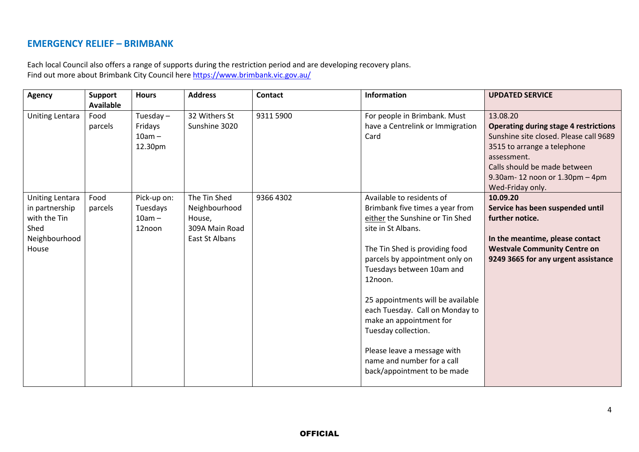#### **EMERGENCY RELIEF – BRIMBANK**

Each local Council also offers a range of supports during the restriction period and are developing recovery plans. Find out more about Brimbank City Council here<https://www.brimbank.vic.gov.au/>

| <b>Agency</b>                                                                              | Support<br><b>Available</b> | <b>Hours</b>                                  | <b>Address</b>                                                              | <b>Contact</b> | Information                                                                                                                                                                                                                                                                                                                                                                                                                                             | <b>UPDATED SERVICE</b>                                                                                                                                                                                             |
|--------------------------------------------------------------------------------------------|-----------------------------|-----------------------------------------------|-----------------------------------------------------------------------------|----------------|---------------------------------------------------------------------------------------------------------------------------------------------------------------------------------------------------------------------------------------------------------------------------------------------------------------------------------------------------------------------------------------------------------------------------------------------------------|--------------------------------------------------------------------------------------------------------------------------------------------------------------------------------------------------------------------|
| <b>Uniting Lentara</b>                                                                     | Food<br>parcels             | Tuesday $-$<br>Fridays<br>$10am -$<br>12.30pm | 32 Withers St<br>Sunshine 3020                                              | 9311 5900      | For people in Brimbank. Must<br>have a Centrelink or Immigration<br>Card                                                                                                                                                                                                                                                                                                                                                                                | 13.08.20<br><b>Operating during stage 4 restrictions</b><br>Sunshine site closed. Please call 9689<br>3515 to arrange a telephone<br>assessment.<br>Calls should be made between<br>9.30am-12 noon or 1.30pm - 4pm |
| <b>Uniting Lentara</b><br>in partnership<br>with the Tin<br>Shed<br>Neighbourhood<br>House | Food<br>parcels             | Pick-up on:<br>Tuesdays<br>$10am -$<br>12noon | The Tin Shed<br>Neighbourhood<br>House,<br>309A Main Road<br>East St Albans | 9366 4302      | Available to residents of<br>Brimbank five times a year from<br>either the Sunshine or Tin Shed<br>site in St Albans.<br>The Tin Shed is providing food<br>parcels by appointment only on<br>Tuesdays between 10am and<br>12noon.<br>25 appointments will be available<br>each Tuesday. Call on Monday to<br>make an appointment for<br>Tuesday collection.<br>Please leave a message with<br>name and number for a call<br>back/appointment to be made | Wed-Friday only.<br>10.09.20<br>Service has been suspended until<br>further notice.<br>In the meantime, please contact<br><b>Westvale Community Centre on</b><br>9249 3665 for any urgent assistance               |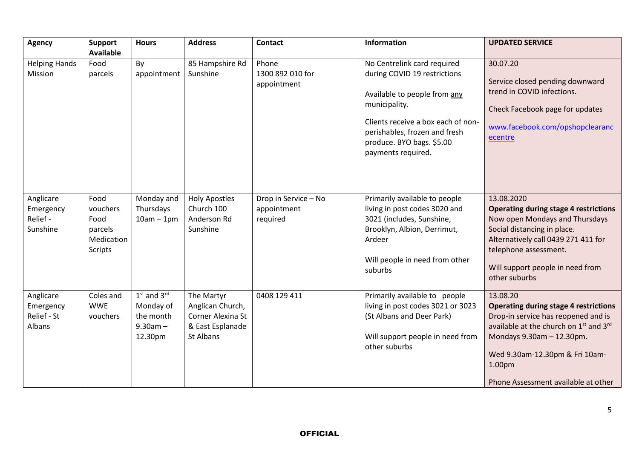| <b>Agency</b>                                   | <b>Support</b><br><b>Available</b>                                  | <b>Hours</b>                                                       | <b>Address</b>                                                                       | <b>Contact</b>                                  | Information                                                                                                                                                                                                                            | <b>UPDATED SERVICE</b>                                                                                                                                                                                                                                                                        |
|-------------------------------------------------|---------------------------------------------------------------------|--------------------------------------------------------------------|--------------------------------------------------------------------------------------|-------------------------------------------------|----------------------------------------------------------------------------------------------------------------------------------------------------------------------------------------------------------------------------------------|-----------------------------------------------------------------------------------------------------------------------------------------------------------------------------------------------------------------------------------------------------------------------------------------------|
| <b>Helping Hands</b><br>Mission                 | Food<br>parcels                                                     | By<br>appointment                                                  | 85 Hampshire Rd<br>Sunshine                                                          | Phone<br>1300 892 010 for<br>appointment        | No Centrelink card required<br>during COVID 19 restrictions<br>Available to people from any<br>municipality.<br>Clients receive a box each of non-<br>perishables, frozen and fresh<br>produce. BYO bags. \$5.00<br>payments required. | 30.07.20<br>Service closed pending downward<br>trend in COVID infections.<br>Check Facebook page for updates<br>www.facebook.com/opshopclearanc<br>ecentre                                                                                                                                    |
| Anglicare<br>Emergency<br>Relief -<br>Sunshine  | Food<br>vouchers<br>Food<br>parcels<br>Medication<br><b>Scripts</b> | Monday and<br>Thursdays<br>$10am - 1pm$                            | <b>Holy Apostles</b><br>Church 100<br>Anderson Rd<br>Sunshine                        | Drop in Service - No<br>appointment<br>required | Primarily available to people<br>living in post codes 3020 and<br>3021 (includes, Sunshine,<br>Brooklyn, Albion, Derrimut,<br>Ardeer<br>Will people in need from other<br>suburbs                                                      | 13.08.2020<br><b>Operating during stage 4 restrictions</b><br>Now open Mondays and Thursdays<br>Social distancing in place.<br>Alternatively call 0439 271 411 for<br>telephone assessment.<br>Will support people in need from<br>other suburbs                                              |
| Anglicare<br>Emergency<br>Relief - St<br>Albans | Coles and<br><b>WWE</b><br>vouchers                                 | $1st$ and $3rd$<br>Monday of<br>the month<br>$9.30am -$<br>12.30pm | The Martyr<br>Anglican Church,<br>Corner Alexina St<br>& East Esplanade<br>St Albans | 0408 129 411                                    | Primarily available to people<br>living in post codes 3021 or 3023<br>(St Albans and Deer Park)<br>Will support people in need from<br>other suburbs                                                                                   | 13.08.20<br><b>Operating during stage 4 restrictions</b><br>Drop-in service has reopened and is<br>available at the church on 1 <sup>st</sup> and 3 <sup>rd</sup><br>Mondays 9.30am - 12.30pm.<br>Wed 9.30am-12.30pm & Fri 10am-<br>1.00 <sub>pm</sub><br>Phone Assessment available at other |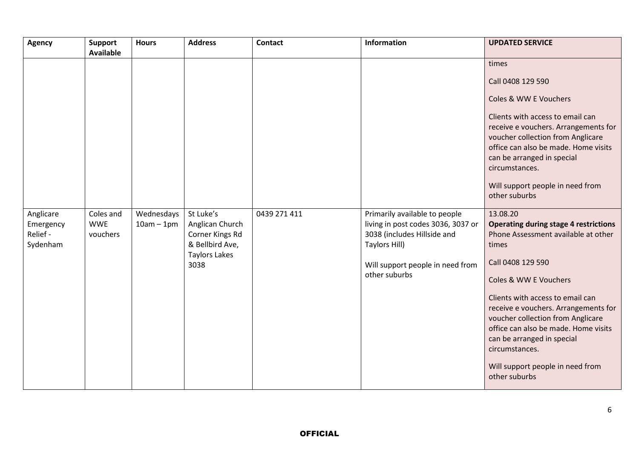| <b>Agency</b>                                  | <b>Support</b><br><b>Available</b>  | <b>Hours</b>               | <b>Address</b>                                                                                     | <b>Contact</b> | <b>Information</b>                                                                                                                                                       | <b>UPDATED SERVICE</b>                                                                                                                                                                                                                                                                                                                                          |
|------------------------------------------------|-------------------------------------|----------------------------|----------------------------------------------------------------------------------------------------|----------------|--------------------------------------------------------------------------------------------------------------------------------------------------------------------------|-----------------------------------------------------------------------------------------------------------------------------------------------------------------------------------------------------------------------------------------------------------------------------------------------------------------------------------------------------------------|
|                                                |                                     |                            |                                                                                                    |                |                                                                                                                                                                          | times                                                                                                                                                                                                                                                                                                                                                           |
|                                                |                                     |                            |                                                                                                    |                |                                                                                                                                                                          | Call 0408 129 590                                                                                                                                                                                                                                                                                                                                               |
|                                                |                                     |                            |                                                                                                    |                |                                                                                                                                                                          | Coles & WW E Vouchers                                                                                                                                                                                                                                                                                                                                           |
|                                                |                                     |                            |                                                                                                    |                |                                                                                                                                                                          | Clients with access to email can<br>receive e vouchers. Arrangements for<br>voucher collection from Anglicare<br>office can also be made. Home visits<br>can be arranged in special                                                                                                                                                                             |
|                                                |                                     |                            |                                                                                                    |                |                                                                                                                                                                          | circumstances.                                                                                                                                                                                                                                                                                                                                                  |
|                                                |                                     |                            |                                                                                                    |                |                                                                                                                                                                          | Will support people in need from<br>other suburbs                                                                                                                                                                                                                                                                                                               |
| Anglicare<br>Emergency<br>Relief -<br>Sydenham | Coles and<br><b>WWE</b><br>vouchers | Wednesdays<br>$10am - 1pm$ | St Luke's<br>Anglican Church<br>Corner Kings Rd<br>& Bellbird Ave,<br><b>Taylors Lakes</b><br>3038 | 0439 271 411   | Primarily available to people<br>living in post codes 3036, 3037 or<br>3038 (includes Hillside and<br>Taylors Hill)<br>Will support people in need from<br>other suburbs | 13.08.20<br><b>Operating during stage 4 restrictions</b><br>Phone Assessment available at other<br>times<br>Call 0408 129 590<br>Coles & WW E Vouchers<br>Clients with access to email can<br>receive e vouchers. Arrangements for<br>voucher collection from Anglicare<br>office can also be made. Home visits<br>can be arranged in special<br>circumstances. |
|                                                |                                     |                            |                                                                                                    |                |                                                                                                                                                                          | Will support people in need from<br>other suburbs                                                                                                                                                                                                                                                                                                               |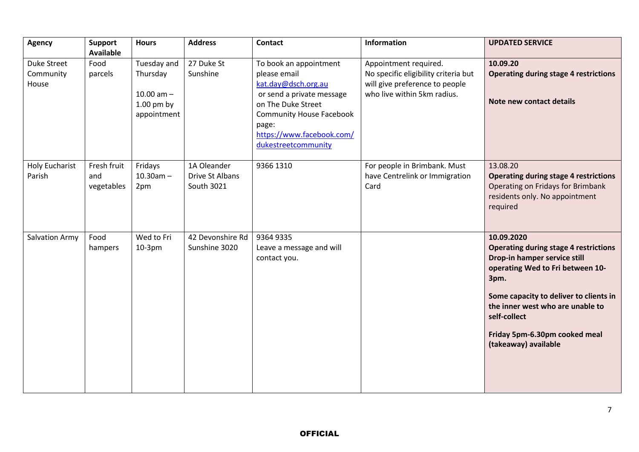| <b>Agency</b>                     | <b>Support</b><br><b>Available</b> | <b>Hours</b>                                                           | <b>Address</b>                               | <b>Contact</b>                                                                                                                                                                                                   | Information                                                                                                                    | <b>UPDATED SERVICE</b>                                                                                                                                                                                                                                                                        |
|-----------------------------------|------------------------------------|------------------------------------------------------------------------|----------------------------------------------|------------------------------------------------------------------------------------------------------------------------------------------------------------------------------------------------------------------|--------------------------------------------------------------------------------------------------------------------------------|-----------------------------------------------------------------------------------------------------------------------------------------------------------------------------------------------------------------------------------------------------------------------------------------------|
| Duke Street<br>Community<br>House | Food<br>parcels                    | Tuesday and<br>Thursday<br>10.00 $am -$<br>$1.00$ pm by<br>appointment | 27 Duke St<br>Sunshine                       | To book an appointment<br>please email<br>kat.day@dsch.org.au<br>or send a private message<br>on The Duke Street<br><b>Community House Facebook</b><br>page:<br>https://www.facebook.com/<br>dukestreetcommunity | Appointment required.<br>No specific eligibility criteria but<br>will give preference to people<br>who live within 5km radius. | 10.09.20<br><b>Operating during stage 4 restrictions</b><br>Note new contact details                                                                                                                                                                                                          |
| <b>Holy Eucharist</b><br>Parish   | Fresh fruit<br>and<br>vegetables   | Fridays<br>$10.30$ am $-$<br>2pm                                       | 1A Oleander<br>Drive St Albans<br>South 3021 | 9366 1310                                                                                                                                                                                                        | For people in Brimbank. Must<br>have Centrelink or Immigration<br>Card                                                         | 13.08.20<br><b>Operating during stage 4 restrictions</b><br>Operating on Fridays for Brimbank<br>residents only. No appointment<br>required                                                                                                                                                   |
| <b>Salvation Army</b>             | Food<br>hampers                    | Wed to Fri<br>$10-3pm$                                                 | 42 Devonshire Rd<br>Sunshine 3020            | 9364 9335<br>Leave a message and will<br>contact you.                                                                                                                                                            |                                                                                                                                | 10.09.2020<br><b>Operating during stage 4 restrictions</b><br>Drop-in hamper service still<br>operating Wed to Fri between 10-<br>3pm.<br>Some capacity to deliver to clients in<br>the inner west who are unable to<br>self-collect<br>Friday 5pm-6.30pm cooked meal<br>(takeaway) available |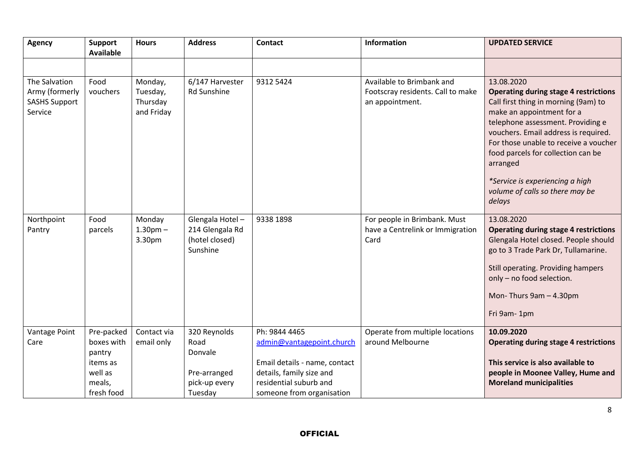| <b>Agency</b>                                                      | Support<br><b>Available</b>                                                       | <b>Hours</b>                                  | <b>Address</b>                                                              | <b>Contact</b>                                                                                                                                                 | <b>Information</b>                                                                | <b>UPDATED SERVICE</b>                                                                                                                                                                                                                                                                                                                                                                  |
|--------------------------------------------------------------------|-----------------------------------------------------------------------------------|-----------------------------------------------|-----------------------------------------------------------------------------|----------------------------------------------------------------------------------------------------------------------------------------------------------------|-----------------------------------------------------------------------------------|-----------------------------------------------------------------------------------------------------------------------------------------------------------------------------------------------------------------------------------------------------------------------------------------------------------------------------------------------------------------------------------------|
|                                                                    |                                                                                   |                                               |                                                                             |                                                                                                                                                                |                                                                                   |                                                                                                                                                                                                                                                                                                                                                                                         |
| The Salvation<br>Army (formerly<br><b>SASHS Support</b><br>Service | Food<br>vouchers                                                                  | Monday,<br>Tuesday,<br>Thursday<br>and Friday | 6/147 Harvester<br>Rd Sunshine                                              | 9312 5424                                                                                                                                                      | Available to Brimbank and<br>Footscray residents. Call to make<br>an appointment. | 13.08.2020<br><b>Operating during stage 4 restrictions</b><br>Call first thing in morning (9am) to<br>make an appointment for a<br>telephone assessment. Providing e<br>vouchers. Email address is required.<br>For those unable to receive a voucher<br>food parcels for collection can be<br>arranged<br>*Service is experiencing a high<br>volume of calls so there may be<br>delays |
| Northpoint<br>Pantry                                               | Food<br>parcels                                                                   | Monday<br>1.30 <sub>pm</sub><br>3.30pm        | Glengala Hotel-<br>214 Glengala Rd<br>(hotel closed)<br>Sunshine            | 9338 1898                                                                                                                                                      | For people in Brimbank. Must<br>have a Centrelink or Immigration<br>Card          | 13.08.2020<br><b>Operating during stage 4 restrictions</b><br>Glengala Hotel closed. People should<br>go to 3 Trade Park Dr, Tullamarine.<br>Still operating. Providing hampers<br>only - no food selection.<br>Mon-Thurs 9am - 4.30pm<br>Fri 9am-1pm                                                                                                                                   |
| Vantage Point<br>Care                                              | Pre-packed<br>boxes with<br>pantry<br>items as<br>well as<br>meals,<br>fresh food | Contact via<br>email only                     | 320 Reynolds<br>Road<br>Donvale<br>Pre-arranged<br>pick-up every<br>Tuesday | Ph: 9844 4465<br>admin@vantagepoint.church<br>Email details - name, contact<br>details, family size and<br>residential suburb and<br>someone from organisation | Operate from multiple locations<br>around Melbourne                               | 10.09.2020<br><b>Operating during stage 4 restrictions</b><br>This service is also available to<br>people in Moonee Valley, Hume and<br><b>Moreland municipalities</b>                                                                                                                                                                                                                  |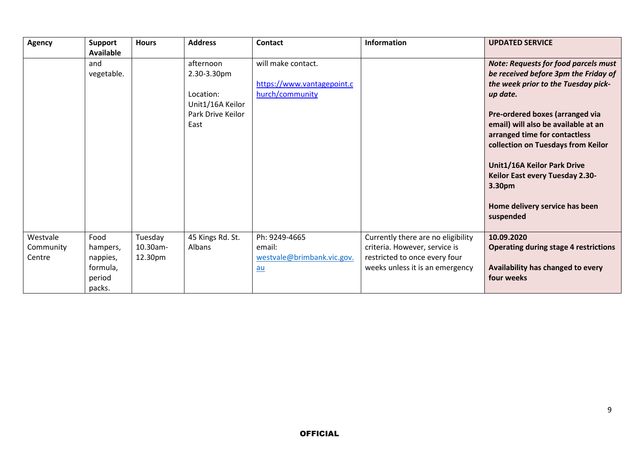| <b>Agency</b> | <b>Support</b> | <b>Hours</b> | <b>Address</b>    | Contact                    | <b>Information</b>                 | <b>UPDATED SERVICE</b>                       |
|---------------|----------------|--------------|-------------------|----------------------------|------------------------------------|----------------------------------------------|
|               | Available      |              |                   |                            |                                    |                                              |
|               | and            |              | afternoon         | will make contact.         |                                    | <b>Note: Requests for food parcels must</b>  |
|               | vegetable.     |              | 2.30-3.30pm       |                            |                                    | be received before 3pm the Friday of         |
|               |                |              |                   | https://www.vantagepoint.c |                                    | the week prior to the Tuesday pick-          |
|               |                |              | Location:         | hurch/community            |                                    | up date.                                     |
|               |                |              | Unit1/16A Keilor  |                            |                                    |                                              |
|               |                |              | Park Drive Keilor |                            |                                    | Pre-ordered boxes (arranged via              |
|               |                |              | East              |                            |                                    | email) will also be available at an          |
|               |                |              |                   |                            |                                    | arranged time for contactless                |
|               |                |              |                   |                            |                                    | collection on Tuesdays from Keilor           |
|               |                |              |                   |                            |                                    |                                              |
|               |                |              |                   |                            |                                    | Unit1/16A Keilor Park Drive                  |
|               |                |              |                   |                            |                                    | Keilor East every Tuesday 2.30-              |
|               |                |              |                   |                            |                                    | 3.30pm                                       |
|               |                |              |                   |                            |                                    |                                              |
|               |                |              |                   |                            |                                    | Home delivery service has been               |
|               |                |              |                   |                            |                                    | suspended                                    |
|               |                |              |                   |                            |                                    |                                              |
| Westvale      | Food           | Tuesday      | 45 Kings Rd. St.  | Ph: 9249-4665              | Currently there are no eligibility | 10.09.2020                                   |
| Community     | hampers,       | 10.30am-     | Albans            | email:                     | criteria. However, service is      | <b>Operating during stage 4 restrictions</b> |
| Centre        | nappies,       | 12.30pm      |                   | westvale@brimbank.vic.gov. | restricted to once every four      |                                              |
|               | formula,       |              |                   | $au$                       | weeks unless it is an emergency    | Availability has changed to every            |
|               | period         |              |                   |                            |                                    | four weeks                                   |
|               | packs.         |              |                   |                            |                                    |                                              |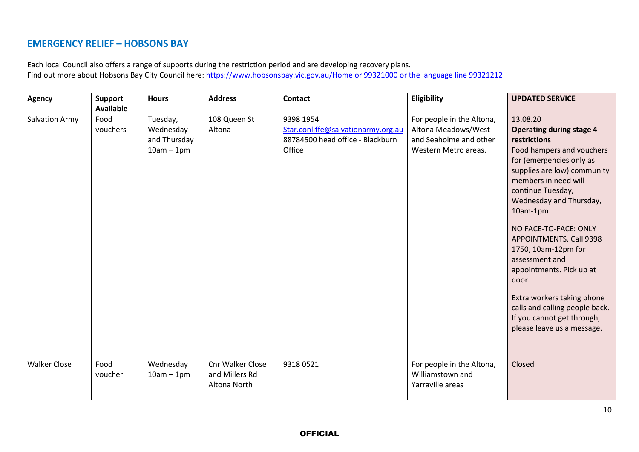#### **EMERGENCY RELIEF – HOBSONS BAY**

Each local Council also offers a range of supports during the restriction period and are developing recovery plans. Find out more about Hobsons Bay City Council here: <https://www.hobsonsbay.vic.gov.au/Home> or 99321000 or the language line 99321212

| <b>Agency</b>       | Support<br><b>Available</b> | <b>Hours</b>                                          | <b>Address</b>                                     | <b>Contact</b>                                                                                | Eligibility                                                                                        | <b>UPDATED SERVICE</b>                                                                                                                                                                                                                                                                                                                                                                                                                                                                                        |
|---------------------|-----------------------------|-------------------------------------------------------|----------------------------------------------------|-----------------------------------------------------------------------------------------------|----------------------------------------------------------------------------------------------------|---------------------------------------------------------------------------------------------------------------------------------------------------------------------------------------------------------------------------------------------------------------------------------------------------------------------------------------------------------------------------------------------------------------------------------------------------------------------------------------------------------------|
| Salvation Army      | Food<br>vouchers            | Tuesday,<br>Wednesday<br>and Thursday<br>$10am - 1pm$ | 108 Queen St<br>Altona                             | 9398 1954<br>Star.conliffe@salvationarmy.org.au<br>88784500 head office - Blackburn<br>Office | For people in the Altona,<br>Altona Meadows/West<br>and Seaholme and other<br>Western Metro areas. | 13.08.20<br><b>Operating during stage 4</b><br>restrictions<br>Food hampers and vouchers<br>for (emergencies only as<br>supplies are low) community<br>members in need will<br>continue Tuesday,<br>Wednesday and Thursday,<br>10am-1pm.<br>NO FACE-TO-FACE: ONLY<br><b>APPOINTMENTS. Call 9398</b><br>1750, 10am-12pm for<br>assessment and<br>appointments. Pick up at<br>door.<br>Extra workers taking phone<br>calls and calling people back.<br>If you cannot get through,<br>please leave us a message. |
| <b>Walker Close</b> | Food<br>voucher             | Wednesday<br>$10am - 1pm$                             | Cnr Walker Close<br>and Millers Rd<br>Altona North | 93180521                                                                                      | For people in the Altona,<br>Williamstown and<br>Yarraville areas                                  | Closed                                                                                                                                                                                                                                                                                                                                                                                                                                                                                                        |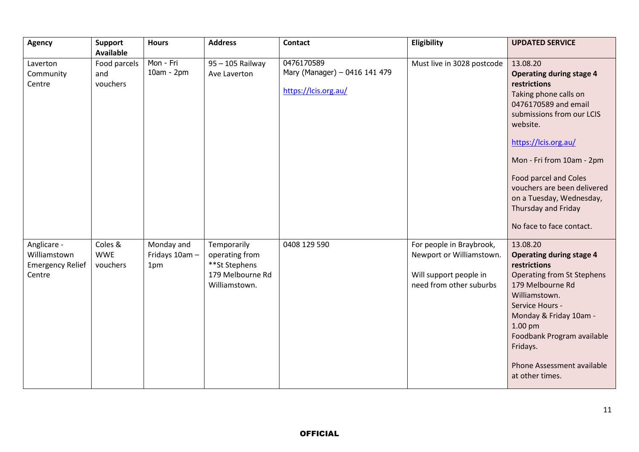| <b>Agency</b>                                                    | <b>Support</b><br><b>Available</b> | <b>Hours</b>                        | <b>Address</b>                                                                      | <b>Contact</b>                                                      | Eligibility                                                                                               | <b>UPDATED SERVICE</b>                                                                                                                                                                                                                                                                                                                            |
|------------------------------------------------------------------|------------------------------------|-------------------------------------|-------------------------------------------------------------------------------------|---------------------------------------------------------------------|-----------------------------------------------------------------------------------------------------------|---------------------------------------------------------------------------------------------------------------------------------------------------------------------------------------------------------------------------------------------------------------------------------------------------------------------------------------------------|
| Laverton<br>Community<br>Centre                                  | Food parcels<br>and<br>vouchers    | Mon - Fri<br>$10am - 2pm$           | 95 - 105 Railway<br>Ave Laverton                                                    | 0476170589<br>Mary (Manager) - 0416 141 479<br>https://lcis.org.au/ | Must live in 3028 postcode                                                                                | 13.08.20<br><b>Operating during stage 4</b><br>restrictions<br>Taking phone calls on<br>0476170589 and email<br>submissions from our LCIS<br>website.<br>https://lcis.org.au/<br>Mon - Fri from 10am - 2pm<br>Food parcel and Coles<br>vouchers are been delivered<br>on a Tuesday, Wednesday,<br>Thursday and Friday<br>No face to face contact. |
| Anglicare -<br>Williamstown<br><b>Emergency Relief</b><br>Centre | Coles &<br><b>WWE</b><br>vouchers  | Monday and<br>Fridays 10am -<br>1pm | Temporarily<br>operating from<br>**St Stephens<br>179 Melbourne Rd<br>Williamstown. | 0408 129 590                                                        | For people in Braybrook,<br>Newport or Williamstown.<br>Will support people in<br>need from other suburbs | 13.08.20<br><b>Operating during stage 4</b><br>restrictions<br><b>Operating from St Stephens</b><br>179 Melbourne Rd<br>Williamstown.<br>Service Hours -<br>Monday & Friday 10am -<br>1.00 <sub>pm</sub><br>Foodbank Program available<br>Fridays.<br>Phone Assessment available<br>at other times.                                               |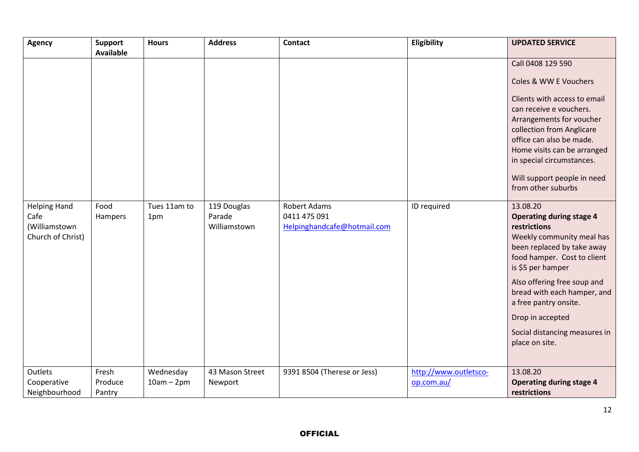| <b>Agency</b>                                                     | <b>Support</b><br><b>Available</b> | <b>Hours</b>              | <b>Address</b>                        | <b>Contact</b>                                                     | Eligibility                         | <b>UPDATED SERVICE</b>                                                                                                                                                                                                                                                                                                                   |
|-------------------------------------------------------------------|------------------------------------|---------------------------|---------------------------------------|--------------------------------------------------------------------|-------------------------------------|------------------------------------------------------------------------------------------------------------------------------------------------------------------------------------------------------------------------------------------------------------------------------------------------------------------------------------------|
|                                                                   |                                    |                           |                                       |                                                                    |                                     | Call 0408 129 590<br>Coles & WW E Vouchers<br>Clients with access to email<br>can receive e vouchers.<br>Arrangements for voucher<br>collection from Anglicare<br>office can also be made.<br>Home visits can be arranged<br>in special circumstances.<br>Will support people in need<br>from other suburbs                              |
| <b>Helping Hand</b><br>Cafe<br>(Williamstown<br>Church of Christ) | Food<br>Hampers                    | Tues 11am to<br>1pm       | 119 Douglas<br>Parade<br>Williamstown | <b>Robert Adams</b><br>0411 475 091<br>Helpinghandcafe@hotmail.com | ID required                         | 13.08.20<br><b>Operating during stage 4</b><br>restrictions<br>Weekly community meal has<br>been replaced by take away<br>food hamper. Cost to client<br>is \$5 per hamper<br>Also offering free soup and<br>bread with each hamper, and<br>a free pantry onsite.<br>Drop in accepted<br>Social distancing measures in<br>place on site. |
| Outlets<br>Cooperative<br>Neighbourhood                           | Fresh<br>Produce<br>Pantry         | Wednesday<br>$10am - 2pm$ | 43 Mason Street<br>Newport            | 9391 8504 (Therese or Jess)                                        | http://www.outletsco-<br>op.com.au/ | 13.08.20<br><b>Operating during stage 4</b><br>restrictions                                                                                                                                                                                                                                                                              |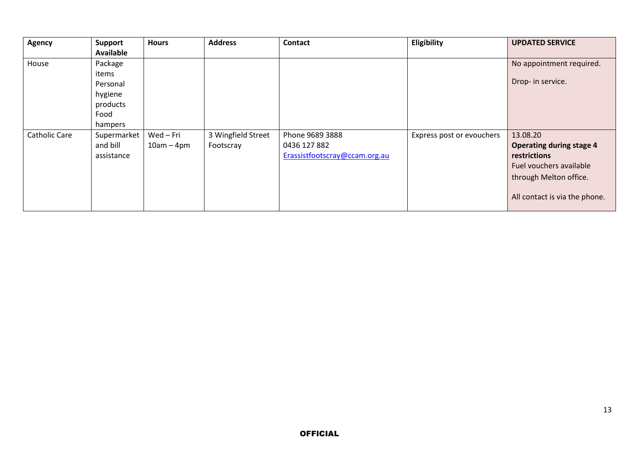| Agency               | <b>Support</b>   | <b>Hours</b> | <b>Address</b>     | <b>Contact</b>                | Eligibility               | <b>UPDATED SERVICE</b>          |
|----------------------|------------------|--------------|--------------------|-------------------------------|---------------------------|---------------------------------|
|                      | <b>Available</b> |              |                    |                               |                           |                                 |
| House                | Package          |              |                    |                               |                           | No appointment required.        |
|                      | items            |              |                    |                               |                           |                                 |
|                      | Personal         |              |                    |                               |                           | Drop- in service.               |
|                      | hygiene          |              |                    |                               |                           |                                 |
|                      | products         |              |                    |                               |                           |                                 |
|                      | Food             |              |                    |                               |                           |                                 |
|                      | hampers          |              |                    |                               |                           |                                 |
| <b>Catholic Care</b> | Supermarket      | Wed-Fri      | 3 Wingfield Street | Phone 9689 3888               | Express post or evouchers | 13.08.20                        |
|                      | and bill         | $10am - 4pm$ | Footscray          | 0436 127 882                  |                           | <b>Operating during stage 4</b> |
|                      | assistance       |              |                    | Erassistfootscray@ccam.org.au |                           | restrictions                    |
|                      |                  |              |                    |                               |                           | Fuel vouchers available         |
|                      |                  |              |                    |                               |                           | through Melton office.          |
|                      |                  |              |                    |                               |                           | All contact is via the phone.   |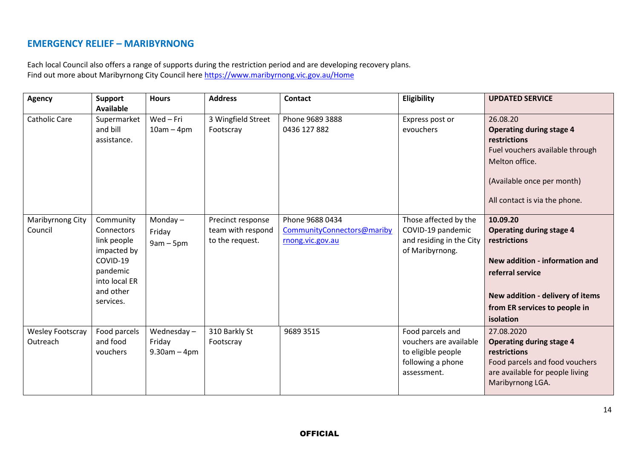### **EMERGENCY RELIEF – MARIBYRNONG**

Each local Council also offers a range of supports during the restriction period and are developing recovery plans. Find out more about Maribyrnong City Council here <https://www.maribyrnong.vic.gov.au/Home>

| <b>Agency</b>                       | Support<br><b>Available</b>                                                                                                     | <b>Hours</b>                              | <b>Address</b>                                            | <b>Contact</b>                                                    | Eligibility                                                                                          | <b>UPDATED SERVICE</b>                                                                                                                                                                              |
|-------------------------------------|---------------------------------------------------------------------------------------------------------------------------------|-------------------------------------------|-----------------------------------------------------------|-------------------------------------------------------------------|------------------------------------------------------------------------------------------------------|-----------------------------------------------------------------------------------------------------------------------------------------------------------------------------------------------------|
| <b>Catholic Care</b>                | Supermarket<br>and bill<br>assistance.                                                                                          | $Wed$ – Fri<br>$10am - 4pm$               | 3 Wingfield Street<br>Footscray                           | Phone 9689 3888<br>0436 127 882                                   | Express post or<br>evouchers                                                                         | 26.08.20<br><b>Operating during stage 4</b><br>restrictions<br>Fuel vouchers available through<br>Melton office.<br>(Available once per month)<br>All contact is via the phone.                     |
| Maribyrnong City<br>Council         | Community<br><b>Connectors</b><br>link people<br>impacted by<br>COVID-19<br>pandemic<br>into local ER<br>and other<br>services. | Monday $-$<br>Friday<br>$9am - 5pm$       | Precinct response<br>team with respond<br>to the request. | Phone 9688 0434<br>CommunityConnectors@mariby<br>rnong.vic.gov.au | Those affected by the<br>COVID-19 pandemic<br>and residing in the City<br>of Maribyrnong.            | 10.09.20<br><b>Operating during stage 4</b><br>restrictions<br>New addition - information and<br>referral service<br>New addition - delivery of items<br>from ER services to people in<br>isolation |
| <b>Wesley Footscray</b><br>Outreach | Food parcels<br>and food<br>vouchers                                                                                            | Wednesday-<br>Friday<br>$9.30$ am $-4$ pm | 310 Barkly St<br>Footscray                                | 9689 3515                                                         | Food parcels and<br>vouchers are available<br>to eligible people<br>following a phone<br>assessment. | 27.08.2020<br><b>Operating during stage 4</b><br>restrictions<br>Food parcels and food vouchers<br>are available for people living<br>Maribyrnong LGA.                                              |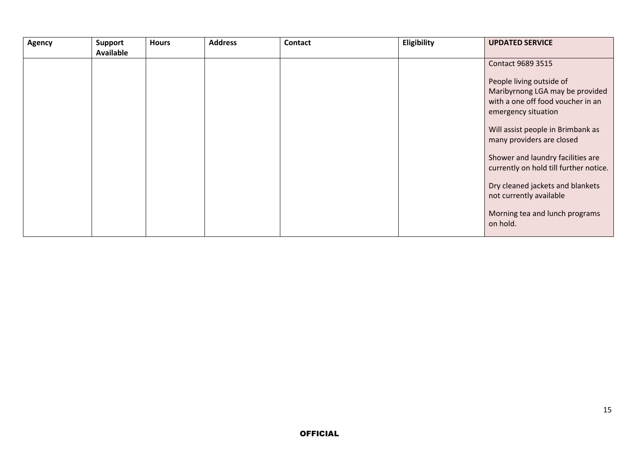| Agency | <b>Support</b><br><b>Available</b> | <b>Hours</b> | <b>Address</b> | <b>Contact</b> | Eligibility | <b>UPDATED SERVICE</b>                                                                                                  |
|--------|------------------------------------|--------------|----------------|----------------|-------------|-------------------------------------------------------------------------------------------------------------------------|
|        |                                    |              |                |                |             | <b>Contact 9689 3515</b>                                                                                                |
|        |                                    |              |                |                |             | People living outside of<br>Maribyrnong LGA may be provided<br>with a one off food voucher in an<br>emergency situation |
|        |                                    |              |                |                |             | Will assist people in Brimbank as<br>many providers are closed                                                          |
|        |                                    |              |                |                |             | Shower and laundry facilities are<br>currently on hold till further notice.                                             |
|        |                                    |              |                |                |             | Dry cleaned jackets and blankets<br>not currently available                                                             |
|        |                                    |              |                |                |             | Morning tea and lunch programs<br>on hold.                                                                              |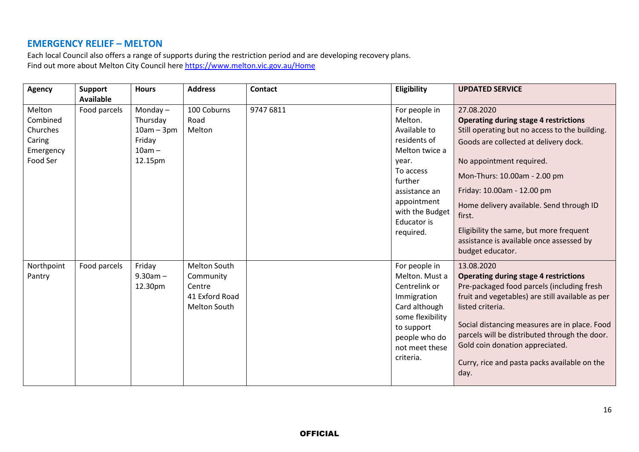### **EMERGENCY RELIEF – MELTON**

Each local Council also offers a range of supports during the restriction period and are developing recovery plans. Find out more about Melton City Council here <https://www.melton.vic.gov.au/Home>

| <b>Agency</b> | <b>Support</b>   | <b>Hours</b> | <b>Address</b> | <b>Contact</b> | Eligibility        | <b>UPDATED SERVICE</b>                           |
|---------------|------------------|--------------|----------------|----------------|--------------------|--------------------------------------------------|
|               | <b>Available</b> |              |                |                |                    |                                                  |
| Melton        | Food parcels     | Monday $-$   | 100 Coburns    | 9747 6811      | For people in      | 27.08.2020                                       |
| Combined      |                  | Thursday     | Road           |                | Melton.            | <b>Operating during stage 4 restrictions</b>     |
| Churches      |                  | $10am - 3pm$ | Melton         |                | Available to       | Still operating but no access to the building.   |
| Caring        |                  | Friday       |                |                | residents of       | Goods are collected at delivery dock.            |
| Emergency     |                  | $10am -$     |                |                | Melton twice a     |                                                  |
| Food Ser      |                  | 12.15pm      |                |                | year.              | No appointment required.                         |
|               |                  |              |                |                | To access          | Mon-Thurs: 10.00am - 2.00 pm                     |
|               |                  |              |                |                | further            |                                                  |
|               |                  |              |                |                | assistance an      | Friday: 10.00am - 12.00 pm                       |
|               |                  |              |                |                | appointment        | Home delivery available. Send through ID         |
|               |                  |              |                |                | with the Budget    | first.                                           |
|               |                  |              |                |                | <b>Educator</b> is |                                                  |
|               |                  |              |                |                | required.          | Eligibility the same, but more frequent          |
|               |                  |              |                |                |                    | assistance is available once assessed by         |
|               |                  |              |                |                |                    | budget educator.                                 |
| Northpoint    | Food parcels     | Friday       | Melton South   |                | For people in      | 13.08.2020                                       |
| Pantry        |                  | $9.30am -$   | Community      |                | Melton. Must a     | <b>Operating during stage 4 restrictions</b>     |
|               |                  | 12.30pm      | Centre         |                | Centrelink or      | Pre-packaged food parcels (including fresh       |
|               |                  |              | 41 Exford Road |                | Immigration        | fruit and vegetables) are still available as per |
|               |                  |              | Melton South   |                | Card although      | listed criteria.                                 |
|               |                  |              |                |                | some flexibility   |                                                  |
|               |                  |              |                |                | to support         | Social distancing measures are in place. Food    |
|               |                  |              |                |                | people who do      | parcels will be distributed through the door.    |
|               |                  |              |                |                | not meet these     | Gold coin donation appreciated.                  |
|               |                  |              |                |                | criteria.          | Curry, rice and pasta packs available on the     |
|               |                  |              |                |                |                    | day.                                             |
|               |                  |              |                |                |                    |                                                  |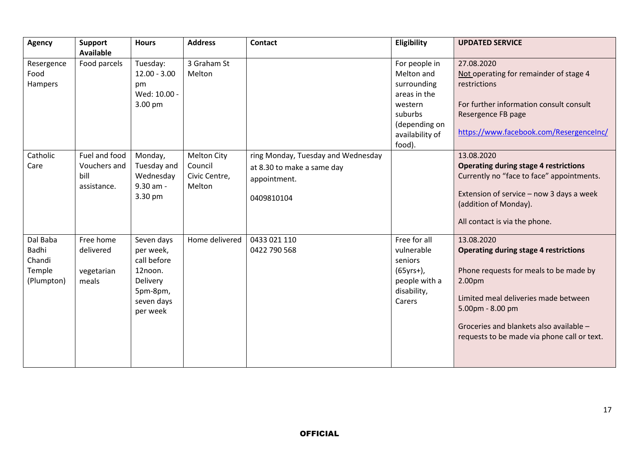| <b>Agency</b>  | <b>Support</b>   | <b>Hours</b>   | <b>Address</b>     | <b>Contact</b>                     | Eligibility     | <b>UPDATED SERVICE</b>                       |
|----------------|------------------|----------------|--------------------|------------------------------------|-----------------|----------------------------------------------|
|                | <b>Available</b> |                |                    |                                    |                 |                                              |
| Resergence     | Food parcels     | Tuesday:       | 3 Graham St        |                                    | For people in   | 27.08.2020                                   |
| Food           |                  | $12.00 - 3.00$ | Melton             |                                    | Melton and      | Not operating for remainder of stage 4       |
| <b>Hampers</b> |                  | pm             |                    |                                    | surrounding     | restrictions                                 |
|                |                  | Wed: 10.00 -   |                    |                                    | areas in the    |                                              |
|                |                  | 3.00 pm        |                    |                                    | western         | For further information consult consult      |
|                |                  |                |                    |                                    | suburbs         | Resergence FB page                           |
|                |                  |                |                    |                                    | (depending on   |                                              |
|                |                  |                |                    |                                    | availability of | https://www.facebook.com/ResergenceInc/      |
|                |                  |                |                    |                                    | food).          |                                              |
| Catholic       | Fuel and food    | Monday,        | <b>Melton City</b> | ring Monday, Tuesday and Wednesday |                 | 13.08.2020                                   |
| Care           | Vouchers and     | Tuesday and    | Council            | at 8.30 to make a same day         |                 | <b>Operating during stage 4 restrictions</b> |
|                | bill             | Wednesday      | Civic Centre,      | appointment.                       |                 | Currently no "face to face" appointments.    |
|                | assistance.      | 9.30 am -      | Melton             |                                    |                 |                                              |
|                |                  | 3.30 pm        |                    | 0409810104                         |                 | Extension of service - now 3 days a week     |
|                |                  |                |                    |                                    |                 | (addition of Monday).                        |
|                |                  |                |                    |                                    |                 | All contact is via the phone.                |
|                |                  |                |                    |                                    |                 |                                              |
| Dal Baba       | Free home        | Seven days     | Home delivered     | 0433 021 110                       | Free for all    | 13.08.2020                                   |
| Badhi          | delivered        | per week,      |                    | 0422 790 568                       | vulnerable      | <b>Operating during stage 4 restrictions</b> |
| Chandi         |                  | call before    |                    |                                    | seniors         |                                              |
| Temple         | vegetarian       | 12noon.        |                    |                                    | $(65yrs+)$ ,    | Phone requests for meals to be made by       |
| (Plumpton)     | meals            | Delivery       |                    |                                    | people with a   | 2.00pm                                       |
|                |                  | 5pm-8pm,       |                    |                                    | disability,     |                                              |
|                |                  | seven days     |                    |                                    | Carers          | Limited meal deliveries made between         |
|                |                  | per week       |                    |                                    |                 | 5.00pm - 8.00 pm                             |
|                |                  |                |                    |                                    |                 |                                              |
|                |                  |                |                    |                                    |                 | Groceries and blankets also available -      |
|                |                  |                |                    |                                    |                 | requests to be made via phone call or text.  |
|                |                  |                |                    |                                    |                 |                                              |
|                |                  |                |                    |                                    |                 |                                              |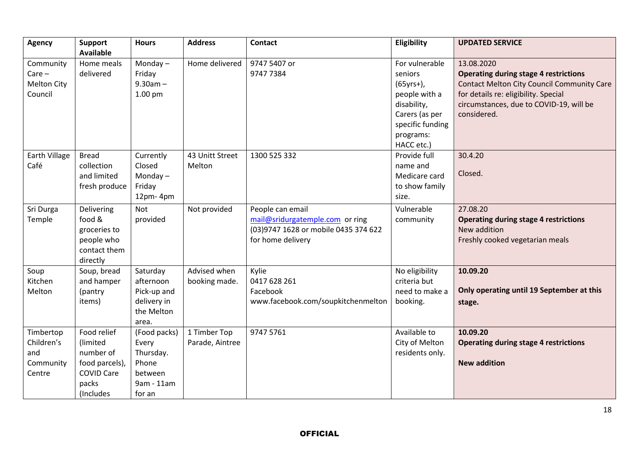| <b>Agency</b>      | <b>Support</b><br><b>Available</b> | <b>Hours</b> | <b>Address</b>  | <b>Contact</b>                       | Eligibility      | <b>UPDATED SERVICE</b>                            |
|--------------------|------------------------------------|--------------|-----------------|--------------------------------------|------------------|---------------------------------------------------|
| Community          | Home meals                         | Monday $-$   | Home delivered  | 9747 5407 or                         | For vulnerable   | 13.08.2020                                        |
| $Care -$           | delivered                          | Friday       |                 | 9747 7384                            | seniors          | <b>Operating during stage 4 restrictions</b>      |
| <b>Melton City</b> |                                    | $9.30am -$   |                 |                                      | $(65yrs+)$ ,     | <b>Contact Melton City Council Community Care</b> |
| Council            |                                    | 1.00 pm      |                 |                                      | people with a    | for details re: eligibility. Special              |
|                    |                                    |              |                 |                                      | disability,      | circumstances, due to COVID-19, will be           |
|                    |                                    |              |                 |                                      | Carers (as per   | considered.                                       |
|                    |                                    |              |                 |                                      | specific funding |                                                   |
|                    |                                    |              |                 |                                      | programs:        |                                                   |
|                    |                                    |              |                 |                                      | HACC etc.)       |                                                   |
| Earth Village      | <b>Bread</b>                       | Currently    | 43 Unitt Street | 1300 525 332                         | Provide full     | 30.4.20                                           |
| Café               | collection                         | Closed       | Melton          |                                      | name and         |                                                   |
|                    | and limited                        | Monday $-$   |                 |                                      | Medicare card    | Closed.                                           |
|                    | fresh produce                      | Friday       |                 |                                      | to show family   |                                                   |
|                    |                                    | 12pm-4pm     |                 |                                      | size.            |                                                   |
| Sri Durga          | Delivering                         | <b>Not</b>   | Not provided    | People can email                     | Vulnerable       | 27.08.20                                          |
| Temple             | food &                             | provided     |                 | mail@sridurgatemple.com or ring      | community        | <b>Operating during stage 4 restrictions</b>      |
|                    | groceries to                       |              |                 | (03)9747 1628 or mobile 0435 374 622 |                  | New addition                                      |
|                    | people who                         |              |                 | for home delivery                    |                  | Freshly cooked vegetarian meals                   |
|                    | contact them                       |              |                 |                                      |                  |                                                   |
|                    | directly                           |              |                 |                                      |                  |                                                   |
| Soup               | Soup, bread                        | Saturday     | Advised when    | Kylie                                | No eligibility   | 10.09.20                                          |
| Kitchen            | and hamper                         | afternoon    | booking made.   | 0417 628 261                         | criteria but     |                                                   |
| Melton             | (pantry                            | Pick-up and  |                 | Facebook                             | need to make a   | Only operating until 19 September at this         |
|                    | items)                             | delivery in  |                 | www.facebook.com/soupkitchenmelton   | booking.         | stage.                                            |
|                    |                                    | the Melton   |                 |                                      |                  |                                                   |
|                    |                                    | area.        |                 |                                      |                  |                                                   |
| Timbertop          | Food relief                        | (Food packs) | 1 Timber Top    | 9747 5761                            | Available to     | 10.09.20                                          |
| Children's         | (limited                           | Every        | Parade, Aintree |                                      | City of Melton   | <b>Operating during stage 4 restrictions</b>      |
| and                | number of                          | Thursday.    |                 |                                      | residents only.  |                                                   |
| Community          | food parcels),                     | Phone        |                 |                                      |                  | <b>New addition</b>                               |
| Centre             | <b>COVID Care</b>                  | between      |                 |                                      |                  |                                                   |
|                    | packs                              | 9am - 11am   |                 |                                      |                  |                                                   |
|                    | (Includes                          | for an       |                 |                                      |                  |                                                   |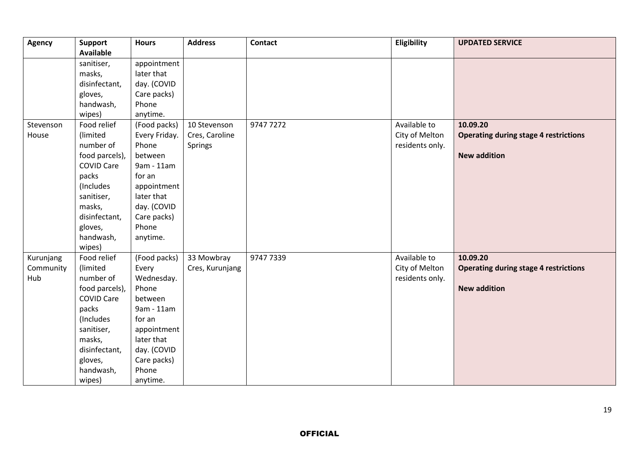| <b>Agency</b>                 | <b>Support</b><br><b>Available</b>                                                                                                                                                                                                             | <b>Hours</b>                                                                                                                                                                                                                              | <b>Address</b>                                   | <b>Contact</b> | Eligibility                                       | <b>UPDATED SERVICE</b>                                                          |
|-------------------------------|------------------------------------------------------------------------------------------------------------------------------------------------------------------------------------------------------------------------------------------------|-------------------------------------------------------------------------------------------------------------------------------------------------------------------------------------------------------------------------------------------|--------------------------------------------------|----------------|---------------------------------------------------|---------------------------------------------------------------------------------|
| Stevenson<br>House            | sanitiser,<br>masks,<br>disinfectant,<br>gloves,<br>handwash,<br>wipes)<br>Food relief<br>(limited<br>number of<br>food parcels),<br><b>COVID Care</b><br>packs<br>(Includes)<br>sanitiser,<br>masks,<br>disinfectant,<br>gloves,<br>handwash, | appointment<br>later that<br>day. (COVID<br>Care packs)<br>Phone<br>anytime.<br>(Food packs)<br>Every Friday.<br>Phone<br>between<br>9am - 11am<br>for an<br>appointment<br>later that<br>day. (COVID<br>Care packs)<br>Phone<br>anytime. | 10 Stevenson<br>Cres, Caroline<br><b>Springs</b> | 9747 7272      | Available to<br>City of Melton<br>residents only. | 10.09.20<br><b>Operating during stage 4 restrictions</b><br><b>New addition</b> |
| Kurunjang<br>Community<br>Hub | wipes)<br>Food relief<br>(limited<br>number of<br>food parcels),<br><b>COVID Care</b><br>packs<br>(Includes<br>sanitiser,<br>masks,<br>disinfectant,<br>gloves,<br>handwash,<br>wipes)                                                         | (Food packs)<br>Every<br>Wednesday.<br>Phone<br>between<br>9am - 11am<br>for an<br>appointment<br>later that<br>day. (COVID<br>Care packs)<br>Phone<br>anytime.                                                                           | 33 Mowbray<br>Cres, Kurunjang                    | 9747 7339      | Available to<br>City of Melton<br>residents only. | 10.09.20<br><b>Operating during stage 4 restrictions</b><br><b>New addition</b> |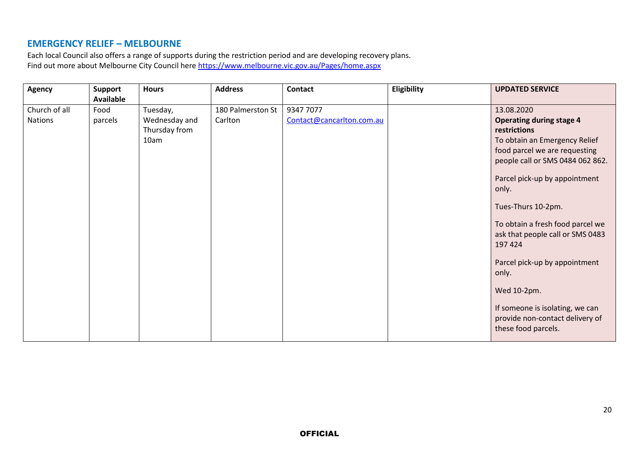### **EMERGENCY RELIEF – MELBOURNE**

Each local Council also offers a range of supports during the restriction period and are developing recovery plans. Find out more about Melbourne City Council here <https://www.melbourne.vic.gov.au/Pages/home.aspx>

| Agency                   | <b>Support</b><br><b>Available</b> | <b>Hours</b>                                       | <b>Address</b>               | <b>Contact</b>                         | Eligibility | <b>UPDATED SERVICE</b>                                                                                                                                                                                        |
|--------------------------|------------------------------------|----------------------------------------------------|------------------------------|----------------------------------------|-------------|---------------------------------------------------------------------------------------------------------------------------------------------------------------------------------------------------------------|
| Church of all<br>Nations | Food<br>parcels                    | Tuesday,<br>Wednesday and<br>Thursday from<br>10am | 180 Palmerston St<br>Carlton | 9347 7077<br>Contact@cancarlton.com.au |             | 13.08.2020<br><b>Operating during stage 4</b><br>restrictions<br>To obtain an Emergency Relief<br>food parcel we are requesting<br>people call or SMS 0484 062 862.<br>Parcel pick-up by appointment<br>only. |
|                          |                                    |                                                    |                              |                                        |             | Tues-Thurs 10-2pm.<br>To obtain a fresh food parcel we<br>ask that people call or SMS 0483<br>197 424                                                                                                         |
|                          |                                    |                                                    |                              |                                        |             | Parcel pick-up by appointment<br>only.<br>Wed 10-2pm.<br>If someone is isolating, we can                                                                                                                      |
|                          |                                    |                                                    |                              |                                        |             | provide non-contact delivery of<br>these food parcels.                                                                                                                                                        |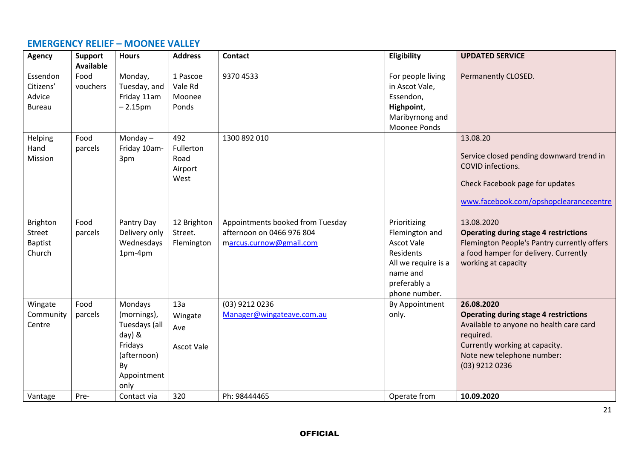#### **EMERGENCY RELIEF – MOONEE VALLEY**

| <b>Agency</b>                                         | <b>Support</b><br><b>Available</b> | <b>Hours</b>                                                                                             | <b>Address</b>                              | <b>Contact</b>                                                                           | Eligibility                                                                                                                          | <b>UPDATED SERVICE</b>                                                                                                                                                                               |
|-------------------------------------------------------|------------------------------------|----------------------------------------------------------------------------------------------------------|---------------------------------------------|------------------------------------------------------------------------------------------|--------------------------------------------------------------------------------------------------------------------------------------|------------------------------------------------------------------------------------------------------------------------------------------------------------------------------------------------------|
| Essendon<br>Citizens'<br>Advice<br><b>Bureau</b>      | Food<br>vouchers                   | Monday,<br>Tuesday, and<br>Friday 11am<br>$-2.15pm$                                                      | 1 Pascoe<br>Vale Rd<br>Moonee<br>Ponds      | 9370 4533                                                                                | For people living<br>in Ascot Vale,<br>Essendon,<br>Highpoint,<br>Maribyrnong and<br>Moonee Ponds                                    | Permanently CLOSED.                                                                                                                                                                                  |
| Helping<br>Hand<br>Mission                            | Food<br>parcels                    | Monday $-$<br>Friday 10am-<br>3pm                                                                        | 492<br>Fullerton<br>Road<br>Airport<br>West | 1300 892 010                                                                             |                                                                                                                                      | 13.08.20<br>Service closed pending downward trend in<br>COVID infections.<br>Check Facebook page for updates<br>www.facebook.com/opshopclearancecentre                                               |
| <b>Brighton</b><br>Street<br><b>Baptist</b><br>Church | Food<br>parcels                    | Pantry Day<br>Delivery only<br>Wednesdays<br>1pm-4pm                                                     | 12 Brighton<br>Street.<br>Flemington        | Appointments booked from Tuesday<br>afternoon on 0466 976 804<br>marcus.curnow@gmail.com | Prioritizing<br>Flemington and<br><b>Ascot Vale</b><br>Residents<br>All we require is a<br>name and<br>preferably a<br>phone number. | 13.08.2020<br><b>Operating during stage 4 restrictions</b><br>Flemington People's Pantry currently offers<br>a food hamper for delivery. Currently<br>working at capacity                            |
| Wingate<br>Community<br>Centre                        | Food<br>parcels                    | Mondays<br>(mornings),<br>Tuesdays (all<br>day) &<br>Fridays<br>(afternoon)<br>By<br>Appointment<br>only | 13a<br>Wingate<br>Ave<br><b>Ascot Vale</b>  | (03) 9212 0236<br>Manager@wingateave.com.au                                              | By Appointment<br>only.                                                                                                              | 26.08.2020<br><b>Operating during stage 4 restrictions</b><br>Available to anyone no health care card<br>required.<br>Currently working at capacity.<br>Note new telephone number:<br>(03) 9212 0236 |
| Vantage                                               | Pre-                               | Contact via                                                                                              | 320                                         | Ph: 98444465                                                                             | Operate from                                                                                                                         | 10.09.2020                                                                                                                                                                                           |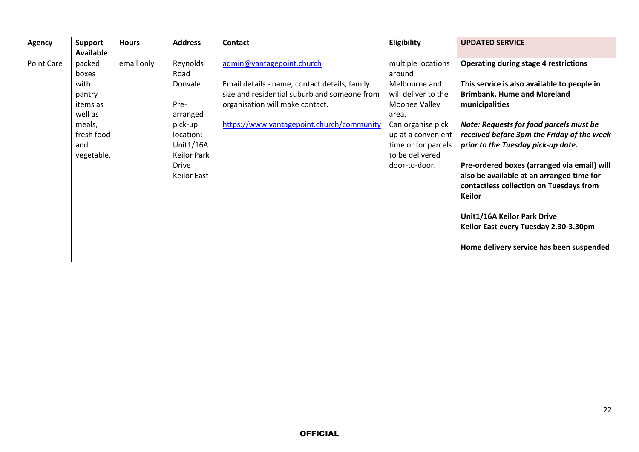| Agency     | <b>Support</b><br><b>Available</b>                                                                    | <b>Hours</b> | <b>Address</b>                                                                                                                            | <b>Contact</b>                                                                                                                                                                                             | Eligibility                                                                                                                                                                                          | <b>UPDATED SERVICE</b>                                                                                                                                                                                                                                                                                                                                                                                                                                                                                                                                         |
|------------|-------------------------------------------------------------------------------------------------------|--------------|-------------------------------------------------------------------------------------------------------------------------------------------|------------------------------------------------------------------------------------------------------------------------------------------------------------------------------------------------------------|------------------------------------------------------------------------------------------------------------------------------------------------------------------------------------------------------|----------------------------------------------------------------------------------------------------------------------------------------------------------------------------------------------------------------------------------------------------------------------------------------------------------------------------------------------------------------------------------------------------------------------------------------------------------------------------------------------------------------------------------------------------------------|
| Point Care | packed<br>boxes<br>with<br>pantry<br>items as<br>well as<br>meals,<br>fresh food<br>and<br>vegetable. | email only   | Reynolds<br>Road<br>Donvale<br>Pre-<br>arranged<br>pick-up<br>location:<br>Unit1/16A<br><b>Keilor Park</b><br><b>Drive</b><br>Keilor East | admin@vantagepoint.church<br>Email details - name, contact details, family<br>size and residential suburb and someone from<br>organisation will make contact.<br>https://www.vantagepoint.church/community | multiple locations<br>around<br>Melbourne and<br>will deliver to the<br>Moonee Valley<br>area.<br>Can organise pick<br>up at a convenient<br>time or for parcels<br>to be delivered<br>door-to-door. | <b>Operating during stage 4 restrictions</b><br>This service is also available to people in<br><b>Brimbank, Hume and Moreland</b><br>municipalities<br>Note: Requests for food parcels must be<br>received before 3pm the Friday of the week<br>prior to the Tuesday pick-up date.<br>Pre-ordered boxes (arranged via email) will<br>also be available at an arranged time for<br>contactless collection on Tuesdays from<br><b>Keilor</b><br>Unit1/16A Keilor Park Drive<br>Keilor East every Tuesday 2.30-3.30pm<br>Home delivery service has been suspended |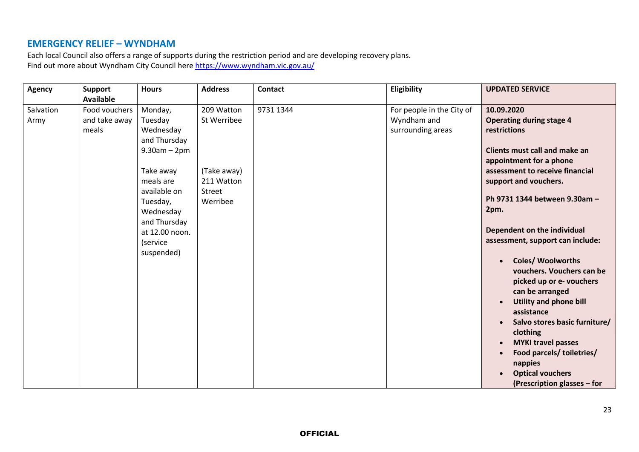### **EMERGENCY RELIEF – WYNDHAM**

Each local Council also offers a range of supports during the restriction period and are developing recovery plans. Find out more about Wyndham City Council here <https://www.wyndham.vic.gov.au/>

| <b>Agency</b> | <b>Support</b>   | <b>Hours</b>    | <b>Address</b> | <b>Contact</b> | Eligibility               | <b>UPDATED SERVICE</b>                     |
|---------------|------------------|-----------------|----------------|----------------|---------------------------|--------------------------------------------|
|               | <b>Available</b> |                 |                |                |                           |                                            |
| Salvation     | Food vouchers    | Monday,         | 209 Watton     | 9731 1344      | For people in the City of | 10.09.2020                                 |
| Army          | and take away    | Tuesday         | St Werribee    |                | Wyndham and               | <b>Operating during stage 4</b>            |
|               | meals            | Wednesday       |                |                | surrounding areas         | restrictions                               |
|               |                  | and Thursday    |                |                |                           |                                            |
|               |                  | $9.30$ am - 2pm |                |                |                           | <b>Clients must call and make an</b>       |
|               |                  |                 |                |                |                           | appointment for a phone                    |
|               |                  | Take away       | (Take away)    |                |                           | assessment to receive financial            |
|               |                  | meals are       | 211 Watton     |                |                           | support and vouchers.                      |
|               |                  | available on    | Street         |                |                           |                                            |
|               |                  | Tuesday,        | Werribee       |                |                           | Ph 9731 1344 between 9.30am -              |
|               |                  | Wednesday       |                |                |                           | 2pm.                                       |
|               |                  | and Thursday    |                |                |                           |                                            |
|               |                  | at 12.00 noon.  |                |                |                           | Dependent on the individual                |
|               |                  | (service        |                |                |                           | assessment, support can include:           |
|               |                  | suspended)      |                |                |                           |                                            |
|               |                  |                 |                |                |                           | Coles/ Woolworths                          |
|               |                  |                 |                |                |                           | vouchers. Vouchers can be                  |
|               |                  |                 |                |                |                           | picked up or e- vouchers                   |
|               |                  |                 |                |                |                           | can be arranged                            |
|               |                  |                 |                |                |                           | <b>Utility and phone bill</b><br>$\bullet$ |
|               |                  |                 |                |                |                           | assistance                                 |
|               |                  |                 |                |                |                           | Salvo stores basic furniture/              |
|               |                  |                 |                |                |                           | clothing                                   |
|               |                  |                 |                |                |                           | <b>MYKI travel passes</b><br>$\bullet$     |
|               |                  |                 |                |                |                           | Food parcels/ toiletries/                  |
|               |                  |                 |                |                |                           | nappies                                    |
|               |                  |                 |                |                |                           | <b>Optical vouchers</b>                    |
|               |                  |                 |                |                |                           | (Prescription glasses – for                |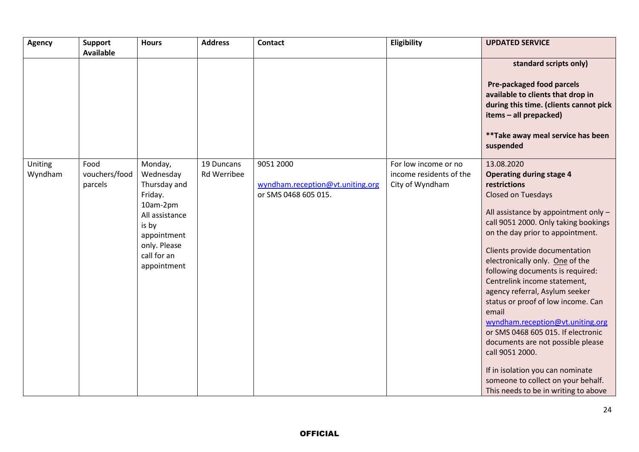| <b>Agency</b>      | Support<br><b>Available</b>      | <b>Hours</b>                                                                                                                                        | <b>Address</b>                   | Contact                                                               | Eligibility                                                        | <b>UPDATED SERVICE</b>                                                                                                                                                                                                                                                                                                                                                                                                                                                                                                                                                                                                                                                               |
|--------------------|----------------------------------|-----------------------------------------------------------------------------------------------------------------------------------------------------|----------------------------------|-----------------------------------------------------------------------|--------------------------------------------------------------------|--------------------------------------------------------------------------------------------------------------------------------------------------------------------------------------------------------------------------------------------------------------------------------------------------------------------------------------------------------------------------------------------------------------------------------------------------------------------------------------------------------------------------------------------------------------------------------------------------------------------------------------------------------------------------------------|
|                    |                                  |                                                                                                                                                     |                                  |                                                                       |                                                                    | standard scripts only)<br>Pre-packaged food parcels<br>available to clients that drop in<br>during this time. (clients cannot pick<br>items - all prepacked)<br>** Take away meal service has been<br>suspended                                                                                                                                                                                                                                                                                                                                                                                                                                                                      |
| Uniting<br>Wyndham | Food<br>vouchers/food<br>parcels | Monday,<br>Wednesday<br>Thursday and<br>Friday.<br>10am-2pm<br>All assistance<br>is by<br>appointment<br>only. Please<br>call for an<br>appointment | 19 Duncans<br><b>Rd Werribee</b> | 9051 2000<br>wyndham.reception@vt.uniting.org<br>or SMS 0468 605 015. | For low income or no<br>income residents of the<br>City of Wyndham | 13.08.2020<br><b>Operating during stage 4</b><br>restrictions<br>Closed on Tuesdays<br>All assistance by appointment only -<br>call 9051 2000. Only taking bookings<br>on the day prior to appointment.<br>Clients provide documentation<br>electronically only. One of the<br>following documents is required:<br>Centrelink income statement,<br>agency referral, Asylum seeker<br>status or proof of low income. Can<br>email<br>wyndham.reception@vt.uniting.org<br>or SMS 0468 605 015. If electronic<br>documents are not possible please<br>call 9051 2000.<br>If in isolation you can nominate<br>someone to collect on your behalf.<br>This needs to be in writing to above |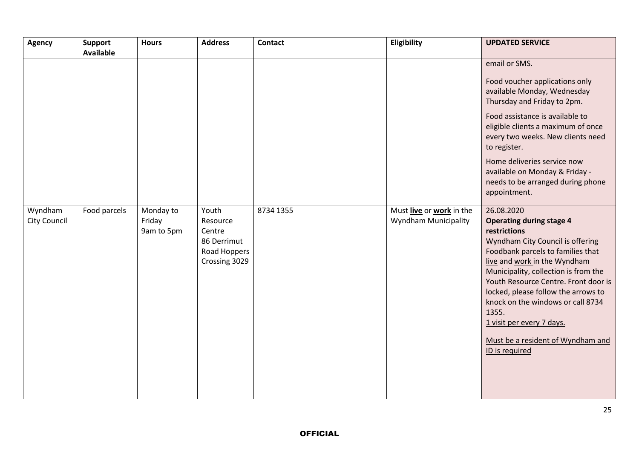| <b>Agency</b>           | Support<br><b>Available</b> | <b>Hours</b>                      | <b>Address</b>                                                              | <b>Contact</b> | Eligibility                                             | <b>UPDATED SERVICE</b>                                                                                                                                                                                                                                                                                                                                                                                                          |
|-------------------------|-----------------------------|-----------------------------------|-----------------------------------------------------------------------------|----------------|---------------------------------------------------------|---------------------------------------------------------------------------------------------------------------------------------------------------------------------------------------------------------------------------------------------------------------------------------------------------------------------------------------------------------------------------------------------------------------------------------|
|                         |                             |                                   |                                                                             |                |                                                         | email or SMS.<br>Food voucher applications only<br>available Monday, Wednesday<br>Thursday and Friday to 2pm.<br>Food assistance is available to<br>eligible clients a maximum of once<br>every two weeks. New clients need<br>to register.                                                                                                                                                                                     |
|                         |                             |                                   |                                                                             |                |                                                         | Home deliveries service now<br>available on Monday & Friday -<br>needs to be arranged during phone<br>appointment.                                                                                                                                                                                                                                                                                                              |
| Wyndham<br>City Council | Food parcels                | Monday to<br>Friday<br>9am to 5pm | Youth<br>Resource<br>Centre<br>86 Derrimut<br>Road Hoppers<br>Crossing 3029 | 8734 1355      | Must live or work in the<br><b>Wyndham Municipality</b> | 26.08.2020<br><b>Operating during stage 4</b><br>restrictions<br>Wyndham City Council is offering<br>Foodbank parcels to families that<br>live and work in the Wyndham<br>Municipality, collection is from the<br>Youth Resource Centre. Front door is<br>locked, please follow the arrows to<br>knock on the windows or call 8734<br>1355.<br>1 visit per every 7 days.<br>Must be a resident of Wyndham and<br>ID is required |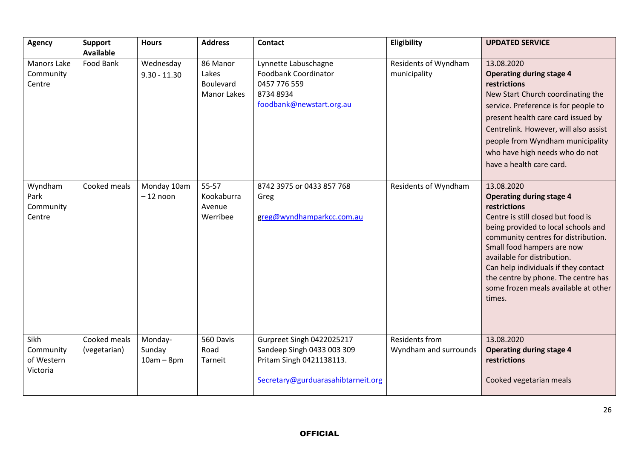| <b>Agency</b>                               | <b>Support</b><br><b>Available</b> | <b>Hours</b>                      | <b>Address</b>                                       | <b>Contact</b>                                                                                                            | Eligibility                                    | <b>UPDATED SERVICE</b>                                                                                                                                                                                                                                                                                                                                                          |
|---------------------------------------------|------------------------------------|-----------------------------------|------------------------------------------------------|---------------------------------------------------------------------------------------------------------------------------|------------------------------------------------|---------------------------------------------------------------------------------------------------------------------------------------------------------------------------------------------------------------------------------------------------------------------------------------------------------------------------------------------------------------------------------|
| <b>Manors Lake</b><br>Community<br>Centre   | Food Bank                          | Wednesday<br>$9.30 - 11.30$       | 86 Manor<br>Lakes<br>Boulevard<br><b>Manor Lakes</b> | Lynnette Labuschagne<br>Foodbank Coordinator<br>0457 776 559<br>8734 8934<br>foodbank@newstart.org.au                     | Residents of Wyndham<br>municipality           | 13.08.2020<br><b>Operating during stage 4</b><br>restrictions<br>New Start Church coordinating the<br>service. Preference is for people to<br>present health care card issued by<br>Centrelink. However, will also assist<br>people from Wyndham municipality<br>who have high needs who do not<br>have a health care card.                                                     |
| Wyndham<br>Park<br>Community<br>Centre      | Cooked meals                       | Monday 10am<br>$-12$ noon         | $55 - 57$<br>Kookaburra<br>Avenue<br>Werribee        | 8742 3975 or 0433 857 768<br>Greg<br>greg@wyndhamparkcc.com.au                                                            | Residents of Wyndham                           | 13.08.2020<br><b>Operating during stage 4</b><br>restrictions<br>Centre is still closed but food is<br>being provided to local schools and<br>community centres for distribution.<br>Small food hampers are now<br>available for distribution.<br>Can help individuals if they contact<br>the centre by phone. The centre has<br>some frozen meals available at other<br>times. |
| Sikh<br>Community<br>of Western<br>Victoria | Cooked meals<br>(vegetarian)       | Monday-<br>Sunday<br>$10am - 8pm$ | 560 Davis<br>Road<br>Tarneit                         | Gurpreet Singh 0422025217<br>Sandeep Singh 0433 003 309<br>Pritam Singh 0421138113.<br>Secretary@gurduarasahibtarneit.org | <b>Residents from</b><br>Wyndham and surrounds | 13.08.2020<br><b>Operating during stage 4</b><br>restrictions<br>Cooked vegetarian meals                                                                                                                                                                                                                                                                                        |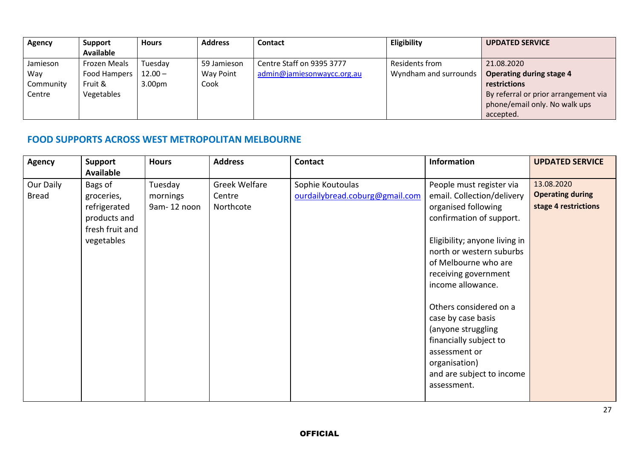| <b>Agency</b> | Support          | <b>Hours</b>       | <b>Address</b> | <b>Contact</b>             | Eligibility           | <b>UPDATED SERVICE</b>               |
|---------------|------------------|--------------------|----------------|----------------------------|-----------------------|--------------------------------------|
|               | <b>Available</b> |                    |                |                            |                       |                                      |
| Jamieson      | Frozen Meals     | Tuesday            | 59 Jamieson    | Centre Staff on 9395 3777  | <b>Residents from</b> | 21.08.2020                           |
| Way           | Food Hampers     | $12.00 -$          | Way Point      | admin@jamiesonwaycc.org.au | Wyndham and surrounds | <b>Operating during stage 4</b>      |
| Community     | Fruit &          | 3.00 <sub>pm</sub> | Cook           |                            |                       | restrictions                         |
| Centre        | Vegetables       |                    |                |                            |                       | By referral or prior arrangement via |
|               |                  |                    |                |                            |                       | phone/email only. No walk ups        |
|               |                  |                    |                |                            |                       | accepted.                            |

#### **FOOD SUPPORTS ACROSS WEST METROPOLITAN MELBOURNE**

| <b>Agency</b><br><b>Support</b><br><b>Available</b>                                                                 | <b>Hours</b>                       | <b>Address</b>                              | <b>Contact</b>                                     | <b>Information</b>                                                                                                                                                                                                                                                                                                                                                                                                        | <b>UPDATED SERVICE</b>                                        |
|---------------------------------------------------------------------------------------------------------------------|------------------------------------|---------------------------------------------|----------------------------------------------------|---------------------------------------------------------------------------------------------------------------------------------------------------------------------------------------------------------------------------------------------------------------------------------------------------------------------------------------------------------------------------------------------------------------------------|---------------------------------------------------------------|
| Our Daily<br>Bags of<br><b>Bread</b><br>groceries,<br>refrigerated<br>products and<br>fresh fruit and<br>vegetables | Tuesday<br>mornings<br>9am-12 noon | <b>Greek Welfare</b><br>Centre<br>Northcote | Sophie Koutoulas<br>ourdailybread.coburg@gmail.com | People must register via<br>email. Collection/delivery<br>organised following<br>confirmation of support.<br>Eligibility; anyone living in<br>north or western suburbs<br>of Melbourne who are<br>receiving government<br>income allowance.<br>Others considered on a<br>case by case basis<br>(anyone struggling<br>financially subject to<br>assessment or<br>organisation)<br>and are subject to income<br>assessment. | 13.08.2020<br><b>Operating during</b><br>stage 4 restrictions |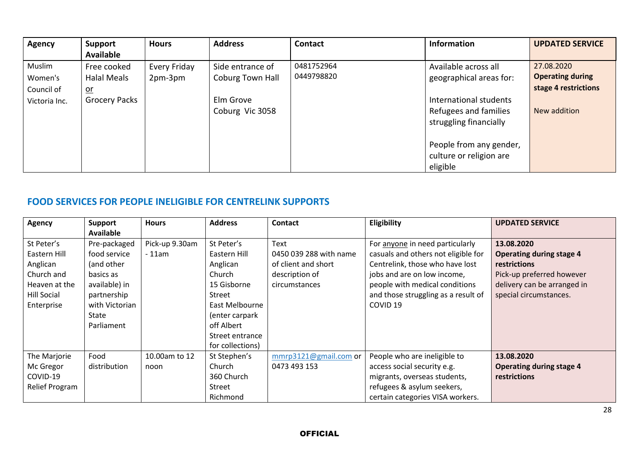| <b>Agency</b> | Support              | <b>Hours</b> | <b>Address</b>   | <b>Contact</b> | <b>Information</b>      | <b>UPDATED SERVICE</b>  |
|---------------|----------------------|--------------|------------------|----------------|-------------------------|-------------------------|
|               | <b>Available</b>     |              |                  |                |                         |                         |
| Muslim        | Free cooked          | Every Friday | Side entrance of | 0481752964     | Available across all    | 27.08.2020              |
| Women's       | <b>Halal Meals</b>   | 2pm-3pm      | Coburg Town Hall | 0449798820     | geographical areas for: | <b>Operating during</b> |
| Council of    | <u>or</u>            |              |                  |                |                         | stage 4 restrictions    |
| Victoria Inc. | <b>Grocery Packs</b> |              | Elm Grove        |                | International students  |                         |
|               |                      |              | Coburg Vic 3058  |                | Refugees and families   | New addition            |
|               |                      |              |                  |                | struggling financially  |                         |
|               |                      |              |                  |                |                         |                         |
|               |                      |              |                  |                | People from any gender, |                         |
|               |                      |              |                  |                | culture or religion are |                         |
|               |                      |              |                  |                | eligible                |                         |

### **FOOD SERVICES FOR PEOPLE INELIGIBLE FOR CENTRELINK SUPPORTS**

| <b>Agency</b>      | <b>Support</b>   | <b>Hours</b>   | <b>Address</b>   | <b>Contact</b>         | Eligibility                         | <b>UPDATED SERVICE</b>          |
|--------------------|------------------|----------------|------------------|------------------------|-------------------------------------|---------------------------------|
|                    | <b>Available</b> |                |                  |                        |                                     |                                 |
| St Peter's         | Pre-packaged     | Pick-up 9.30am | St Peter's       | Text                   | For anyone in need particularly     | 13.08.2020                      |
| Eastern Hill       | food service     | $-11$ am       | Eastern Hill     | 0450 039 288 with name | casuals and others not eligible for | <b>Operating during stage 4</b> |
| Anglican           | (and other       |                | Anglican         | of client and short    | Centrelink, those who have lost     | <b>restrictions</b>             |
| Church and         | basics as        |                | Church           | description of         | jobs and are on low income,         | Pick-up preferred however       |
| Heaven at the      | available) in    |                | 15 Gisborne      | circumstances          | people with medical conditions      | delivery can be arranged in     |
| <b>Hill Social</b> | partnership      |                | Street           |                        | and those struggling as a result of | special circumstances.          |
| Enterprise         | with Victorian   |                | East Melbourne   |                        | COVID <sub>19</sub>                 |                                 |
|                    | State            |                | (enter carpark   |                        |                                     |                                 |
|                    | Parliament       |                | off Albert       |                        |                                     |                                 |
|                    |                  |                | Street entrance  |                        |                                     |                                 |
|                    |                  |                | for collections) |                        |                                     |                                 |
| The Marjorie       | Food             | 10.00am to 12  | St Stephen's     | mmrp3121@gmail.com or  | People who are ineligible to        | 13.08.2020                      |
| Mc Gregor          | distribution     | noon           | Church           | 0473 493 153           | access social security e.g.         | <b>Operating during stage 4</b> |
| COVID-19           |                  |                | 360 Church       |                        | migrants, overseas students,        | restrictions                    |
| Relief Program     |                  |                | <b>Street</b>    |                        | refugees & asylum seekers,          |                                 |
|                    |                  |                | Richmond         |                        | certain categories VISA workers.    |                                 |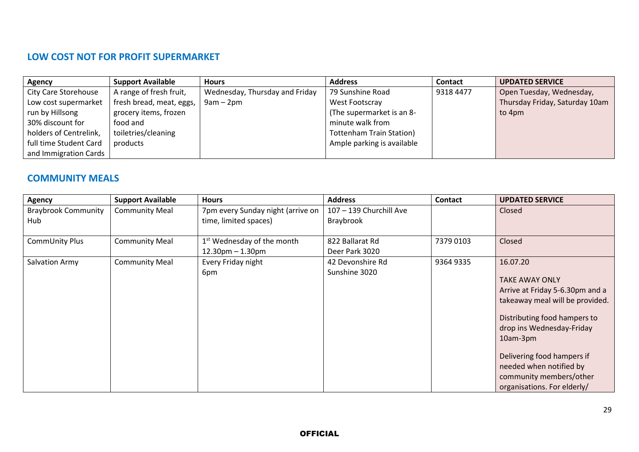### **LOW COST NOT FOR PROFIT SUPERMARKET**

| Agency                 | <b>Support Available</b> | <b>Hours</b>                   | <b>Address</b>                  | <b>Contact</b> | <b>UPDATED SERVICE</b>         |
|------------------------|--------------------------|--------------------------------|---------------------------------|----------------|--------------------------------|
| City Care Storehouse   | A range of fresh fruit,  | Wednesday, Thursday and Friday | 79 Sunshine Road                | 9318 4477      | Open Tuesday, Wednesday,       |
| Low cost supermarket   | fresh bread, meat, eggs, | $9am - 2pm$                    | West Footscray                  |                | Thursday Friday, Saturday 10am |
| run by Hillsong        | grocery items, frozen    |                                | (The supermarket is an 8-       |                | to 4pm                         |
| 30% discount for       | food and                 |                                | minute walk from                |                |                                |
| holders of Centrelink, | toiletries/cleaning      |                                | <b>Tottenham Train Station)</b> |                |                                |
| full time Student Card | products                 |                                | Ample parking is available      |                |                                |
| and Immigration Cards  |                          |                                |                                 |                |                                |

#### **COMMUNITY MEALS**

| <b>Agency</b>                     | <b>Support Available</b> | <b>Hours</b>                                                    | <b>Address</b>                       | Contact   | <b>UPDATED SERVICE</b>                                                                                                                                                                                                                                                                              |
|-----------------------------------|--------------------------|-----------------------------------------------------------------|--------------------------------------|-----------|-----------------------------------------------------------------------------------------------------------------------------------------------------------------------------------------------------------------------------------------------------------------------------------------------------|
| <b>Braybrook Community</b><br>Hub | <b>Community Meal</b>    | 7pm every Sunday night (arrive on<br>time, limited spaces)      | 107 - 139 Churchill Ave<br>Braybrook |           | Closed                                                                                                                                                                                                                                                                                              |
| CommUnity Plus                    | <b>Community Meal</b>    | 1 <sup>st</sup> Wednesday of the month<br>$12.30$ pm $-1.30$ pm | 822 Ballarat Rd<br>Deer Park 3020    | 7379 0103 | Closed                                                                                                                                                                                                                                                                                              |
| Salvation Army                    | <b>Community Meal</b>    | Every Friday night<br>6pm                                       | 42 Devonshire Rd<br>Sunshine 3020    | 9364 9335 | 16.07.20<br><b>TAKE AWAY ONLY</b><br>Arrive at Friday 5-6.30pm and a<br>takeaway meal will be provided.<br>Distributing food hampers to<br>drop ins Wednesday-Friday<br>10am-3pm<br>Delivering food hampers if<br>needed when notified by<br>community members/other<br>organisations. For elderly/ |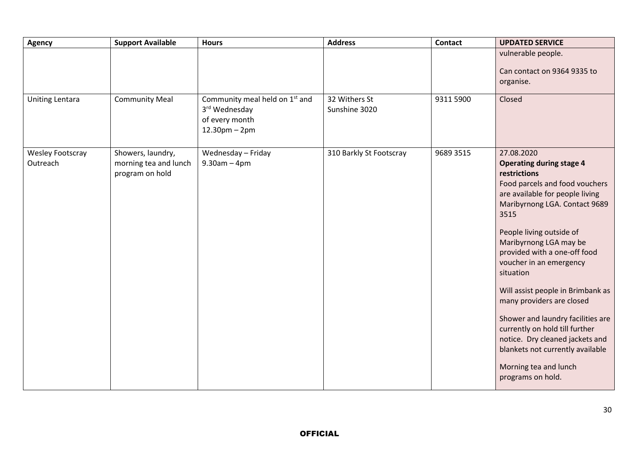| <b>Agency</b>                | <b>Support Available</b>                                      | <b>Hours</b>                                                                                      | <b>Address</b>                 | Contact   | <b>UPDATED SERVICE</b>                                                                                                                                                                                                                                                                                                                                                                                                                                                                                                                                                  |
|------------------------------|---------------------------------------------------------------|---------------------------------------------------------------------------------------------------|--------------------------------|-----------|-------------------------------------------------------------------------------------------------------------------------------------------------------------------------------------------------------------------------------------------------------------------------------------------------------------------------------------------------------------------------------------------------------------------------------------------------------------------------------------------------------------------------------------------------------------------------|
|                              |                                                               |                                                                                                   |                                |           | vulnerable people.<br>Can contact on 9364 9335 to<br>organise.                                                                                                                                                                                                                                                                                                                                                                                                                                                                                                          |
| <b>Uniting Lentara</b>       | <b>Community Meal</b>                                         | Community meal held on 1 <sup>st</sup> and<br>3rd Wednesday<br>of every month<br>$12.30$ pm – 2pm | 32 Withers St<br>Sunshine 3020 | 9311 5900 | Closed                                                                                                                                                                                                                                                                                                                                                                                                                                                                                                                                                                  |
| Wesley Footscray<br>Outreach | Showers, laundry,<br>morning tea and lunch<br>program on hold | Wednesday - Friday<br>$9.30$ am $-4$ pm                                                           | 310 Barkly St Footscray        | 9689 3515 | 27.08.2020<br><b>Operating during stage 4</b><br>restrictions<br>Food parcels and food vouchers<br>are available for people living<br>Maribyrnong LGA. Contact 9689<br>3515<br>People living outside of<br>Maribyrnong LGA may be<br>provided with a one-off food<br>voucher in an emergency<br>situation<br>Will assist people in Brimbank as<br>many providers are closed<br>Shower and laundry facilities are<br>currently on hold till further<br>notice. Dry cleaned jackets and<br>blankets not currently available<br>Morning tea and lunch<br>programs on hold. |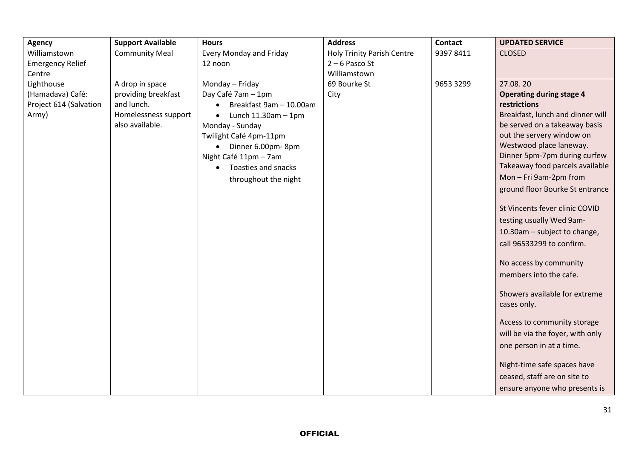| <b>Agency</b>           | <b>Support Available</b> | <b>Hours</b>                          | <b>Address</b>                    | <b>Contact</b> | <b>UPDATED SERVICE</b>                       |
|-------------------------|--------------------------|---------------------------------------|-----------------------------------|----------------|----------------------------------------------|
| Williamstown            | <b>Community Meal</b>    | Every Monday and Friday               | <b>Holy Trinity Parish Centre</b> | 9397 8411      | <b>CLOSED</b>                                |
| <b>Emergency Relief</b> |                          | 12 noon                               | $2 - 6$ Pasco St                  |                |                                              |
| Centre                  |                          |                                       | Williamstown                      |                |                                              |
| Lighthouse              | A drop in space          | Monday - Friday                       | 69 Bourke St                      | 9653 3299      | 27.08.20                                     |
| (Hamadava) Café:        | providing breakfast      | Day Café 7am - 1pm                    | City                              |                | <b>Operating during stage 4</b>              |
| Project 614 (Salvation  | and lunch.               | Breakfast 9am - 10.00am               |                                   |                | restrictions                                 |
| Army)                   | Homelessness support     | Lunch $11.30$ am $-1$ pm<br>$\bullet$ |                                   |                | Breakfast, lunch and dinner will             |
|                         | also available.          | Monday - Sunday                       |                                   |                | be served on a takeaway basis                |
|                         |                          | Twilight Café 4pm-11pm                |                                   |                | out the servery window on                    |
|                         |                          | • Dinner 6.00pm-8pm                   |                                   |                | Westwood place laneway.                      |
|                         |                          | Night Café 11pm - 7am                 |                                   |                | Dinner 5pm-7pm during curfew                 |
|                         |                          | Toasties and snacks<br>$\bullet$      |                                   |                | Takeaway food parcels available              |
|                         |                          | throughout the night                  |                                   |                | Mon-Fri 9am-2pm from                         |
|                         |                          |                                       |                                   |                | ground floor Bourke St entrance              |
|                         |                          |                                       |                                   |                | St Vincents fever clinic COVID               |
|                         |                          |                                       |                                   |                | testing usually Wed 9am-                     |
|                         |                          |                                       |                                   |                | 10.30am - subject to change,                 |
|                         |                          |                                       |                                   |                | call 96533299 to confirm.                    |
|                         |                          |                                       |                                   |                | No access by community                       |
|                         |                          |                                       |                                   |                | members into the cafe.                       |
|                         |                          |                                       |                                   |                | Showers available for extreme<br>cases only. |
|                         |                          |                                       |                                   |                | Access to community storage                  |
|                         |                          |                                       |                                   |                | will be via the foyer, with only             |
|                         |                          |                                       |                                   |                | one person in at a time.                     |
|                         |                          |                                       |                                   |                | Night-time safe spaces have                  |
|                         |                          |                                       |                                   |                | ceased, staff are on site to                 |
|                         |                          |                                       |                                   |                | ensure anyone who presents is                |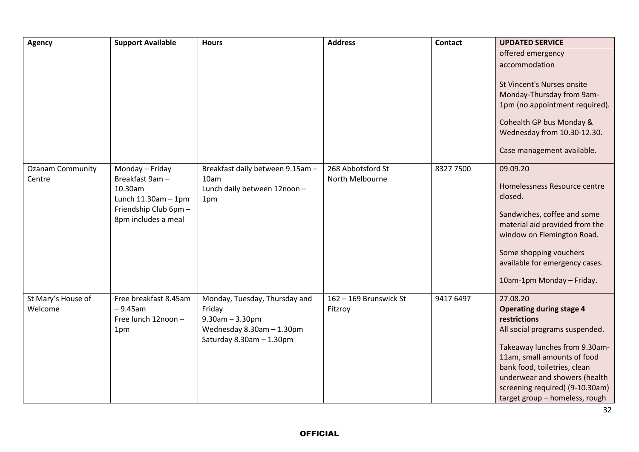| <b>Agency</b>                     | <b>Support Available</b>                                                                                                  | <b>Hours</b>                                                                                                              | <b>Address</b>                       | <b>Contact</b> | <b>UPDATED SERVICE</b>                                                                                                                                                                                                                                                                              |
|-----------------------------------|---------------------------------------------------------------------------------------------------------------------------|---------------------------------------------------------------------------------------------------------------------------|--------------------------------------|----------------|-----------------------------------------------------------------------------------------------------------------------------------------------------------------------------------------------------------------------------------------------------------------------------------------------------|
|                                   |                                                                                                                           |                                                                                                                           |                                      |                | offered emergency<br>accommodation<br>St Vincent's Nurses onsite<br>Monday-Thursday from 9am-<br>1pm (no appointment required).<br>Cohealth GP bus Monday &<br>Wednesday from 10.30-12.30.<br>Case management available.                                                                            |
| <b>Ozanam Community</b><br>Centre | Monday - Friday<br>Breakfast 9am -<br>10.30am<br>Lunch $11.30$ am $-1$ pm<br>Friendship Club 6pm -<br>8pm includes a meal | Breakfast daily between 9.15am -<br>10am<br>Lunch daily between 12noon -<br>1pm                                           | 268 Abbotsford St<br>North Melbourne | 8327 7500      | 09.09.20<br>Homelessness Resource centre<br>closed.<br>Sandwiches, coffee and some<br>material aid provided from the<br>window on Flemington Road.<br>Some shopping vouchers<br>available for emergency cases.<br>10am-1pm Monday - Friday.                                                         |
| St Mary's House of<br>Welcome     | Free breakfast 8.45am<br>$-9.45$ am<br>Free lunch 12noon -<br>1pm                                                         | Monday, Tuesday, Thursday and<br>Friday<br>$9.30$ am $- 3.30$ pm<br>Wednesday 8.30am - 1.30pm<br>Saturday 8.30am - 1.30pm | 162 - 169 Brunswick St<br>Fitzroy    | 9417 6497      | 27.08.20<br><b>Operating during stage 4</b><br>restrictions<br>All social programs suspended.<br>Takeaway lunches from 9.30am-<br>11am, small amounts of food<br>bank food, toiletries, clean<br>underwear and showers (health<br>screening required) (9-10.30am)<br>target group - homeless, rough |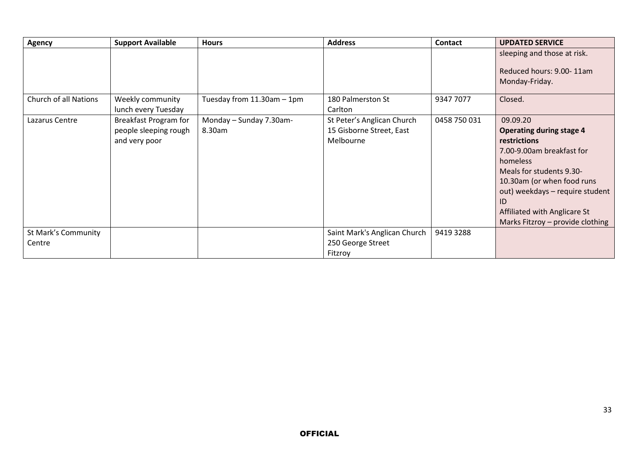| <b>Agency</b>                 | <b>Support Available</b>                                               | <b>Hours</b>                      | <b>Address</b>                                                      | <b>Contact</b> | <b>UPDATED SERVICE</b>                                                                                                                                                                                                                                                      |
|-------------------------------|------------------------------------------------------------------------|-----------------------------------|---------------------------------------------------------------------|----------------|-----------------------------------------------------------------------------------------------------------------------------------------------------------------------------------------------------------------------------------------------------------------------------|
|                               |                                                                        |                                   |                                                                     |                | sleeping and those at risk.<br>Reduced hours: 9.00-11am<br>Monday-Friday.                                                                                                                                                                                                   |
| Church of all Nations         | Weekly community<br>lunch every Tuesday                                | Tuesday from $11.30$ am $-1$ pm   | 180 Palmerston St<br>Carlton                                        | 9347 7077      | Closed.                                                                                                                                                                                                                                                                     |
| Lazarus Centre                | <b>Breakfast Program for</b><br>people sleeping rough<br>and very poor | Monday - Sunday 7.30am-<br>8.30am | St Peter's Anglican Church<br>15 Gisborne Street, East<br>Melbourne | 0458 750 031   | 09.09.20<br><b>Operating during stage 4</b><br>restrictions<br>7.00-9.00am breakfast for<br>homeless<br>Meals for students 9.30-<br>10.30am (or when food runs<br>out) weekdays - require student<br>ID<br>Affiliated with Anglicare St<br>Marks Fitzroy - provide clothing |
| St Mark's Community<br>Centre |                                                                        |                                   | Saint Mark's Anglican Church<br>250 George Street<br>Fitzroy        | 9419 3288      |                                                                                                                                                                                                                                                                             |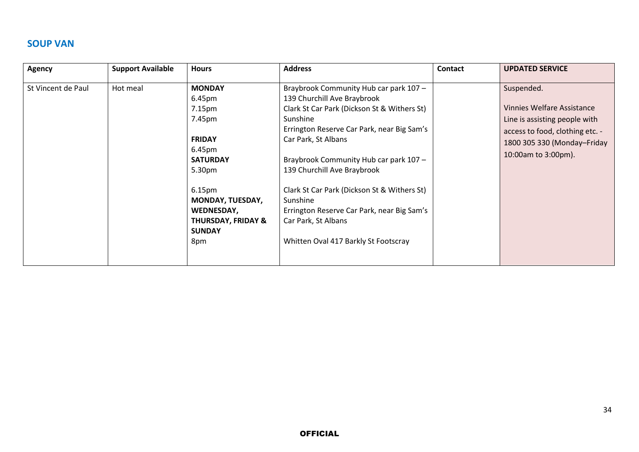#### **SOUP VAN**

| <b>Agency</b>      | <b>Support Available</b> | <b>Hours</b>                                                                                                                                                                                                                | <b>Address</b>                                                                                                                                                                                                                                                                                                                                                                                                                                         | <b>Contact</b> | <b>UPDATED SERVICE</b>                                                                                                                                                    |
|--------------------|--------------------------|-----------------------------------------------------------------------------------------------------------------------------------------------------------------------------------------------------------------------------|--------------------------------------------------------------------------------------------------------------------------------------------------------------------------------------------------------------------------------------------------------------------------------------------------------------------------------------------------------------------------------------------------------------------------------------------------------|----------------|---------------------------------------------------------------------------------------------------------------------------------------------------------------------------|
| St Vincent de Paul | Hot meal                 | <b>MONDAY</b><br>6.45pm<br>7.15pm<br>7.45pm<br><b>FRIDAY</b><br>6.45pm<br><b>SATURDAY</b><br>5.30pm<br>6.15 <sub>pm</sub><br><b>MONDAY, TUESDAY,</b><br>WEDNESDAY,<br><b>THURSDAY, FRIDAY &amp;</b><br><b>SUNDAY</b><br>8pm | Braybrook Community Hub car park 107 -<br>139 Churchill Ave Braybrook<br>Clark St Car Park (Dickson St & Withers St)<br>Sunshine<br>Errington Reserve Car Park, near Big Sam's<br>Car Park, St Albans<br>Braybrook Community Hub car park 107 -<br>139 Churchill Ave Braybrook<br>Clark St Car Park (Dickson St & Withers St)<br>Sunshine<br>Errington Reserve Car Park, near Big Sam's<br>Car Park, St Albans<br>Whitten Oval 417 Barkly St Footscray |                | Suspended.<br><b>Vinnies Welfare Assistance</b><br>Line is assisting people with<br>access to food, clothing etc. -<br>1800 305 330 (Monday-Friday<br>10:00am to 3:00pm). |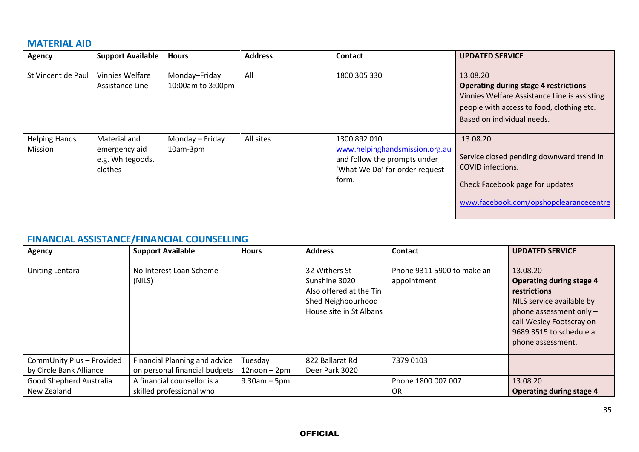#### **MATERIAL AID**

| <b>Agency</b>                   | <b>Support Available</b>                                     | <b>Hours</b>                       | <b>Address</b> | Contact                                                                                                                   | <b>UPDATED SERVICE</b>                                                                                                                                                              |
|---------------------------------|--------------------------------------------------------------|------------------------------------|----------------|---------------------------------------------------------------------------------------------------------------------------|-------------------------------------------------------------------------------------------------------------------------------------------------------------------------------------|
| St Vincent de Paul              | Vinnies Welfare<br>Assistance Line                           | Monday-Friday<br>10:00am to 3:00pm | All            | 1800 305 330                                                                                                              | 13.08.20<br><b>Operating during stage 4 restrictions</b><br>Vinnies Welfare Assistance Line is assisting<br>people with access to food, clothing etc.<br>Based on individual needs. |
| <b>Helping Hands</b><br>Mission | Material and<br>emergency aid<br>e.g. Whitegoods,<br>clothes | Monday - Friday<br>10am-3pm        | All sites      | 1300 892 010<br>www.helpinghandsmission.org.au<br>and follow the prompts under<br>'What We Do' for order request<br>form. | 13.08.20<br>Service closed pending downward trend in<br><b>COVID</b> infections.<br>Check Facebook page for updates<br>www.facebook.com/opshopclearancecentre                       |

# **FINANCIAL ASSISTANCE/FINANCIAL COUNSELLING**

| <b>Agency</b>                                        | <b>Support Available</b>                                       | <b>Hours</b>                  | <b>Address</b>                                                                                             | Contact                                   | <b>UPDATED SERVICE</b>                                                                                                                                                                            |
|------------------------------------------------------|----------------------------------------------------------------|-------------------------------|------------------------------------------------------------------------------------------------------------|-------------------------------------------|---------------------------------------------------------------------------------------------------------------------------------------------------------------------------------------------------|
| <b>Uniting Lentara</b>                               | No Interest Loan Scheme<br>(NILS)                              |                               | 32 Withers St<br>Sunshine 3020<br>Also offered at the Tin<br>Shed Neighbourhood<br>House site in St Albans | Phone 9311 5900 to make an<br>appointment | 13.08.20<br><b>Operating during stage 4</b><br>restrictions<br>NILS service available by<br>phone assessment only $-$<br>call Wesley Footscray on<br>9689 3515 to schedule a<br>phone assessment. |
| CommUnity Plus - Provided<br>by Circle Bank Alliance | Financial Planning and advice<br>on personal financial budgets | Tuesday<br>$12$ noon - $2$ pm | 822 Ballarat Rd<br>Deer Park 3020                                                                          | 7379 0103                                 |                                                                                                                                                                                                   |
| Good Shepherd Australia<br>New Zealand               | A financial counsellor is a<br>skilled professional who        | $9.30$ am – 5pm               |                                                                                                            | Phone 1800 007 007<br>0R                  | 13.08.20<br>Operating during stage 4                                                                                                                                                              |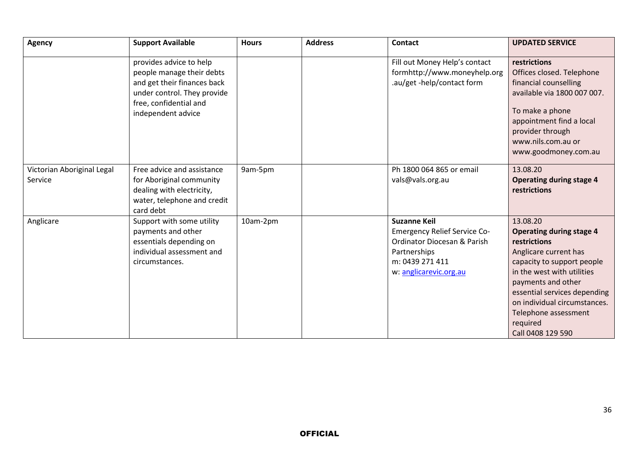| Agency                                | <b>Support Available</b>                                                                                                                                           | <b>Hours</b> | <b>Address</b> | <b>Contact</b>                                                                                                                                         | <b>UPDATED SERVICE</b>                                                                                                                                                                                                                                                                          |
|---------------------------------------|--------------------------------------------------------------------------------------------------------------------------------------------------------------------|--------------|----------------|--------------------------------------------------------------------------------------------------------------------------------------------------------|-------------------------------------------------------------------------------------------------------------------------------------------------------------------------------------------------------------------------------------------------------------------------------------------------|
|                                       | provides advice to help<br>people manage their debts<br>and get their finances back<br>under control. They provide<br>free, confidential and<br>independent advice |              |                | Fill out Money Help's contact<br>formhttp://www.moneyhelp.org<br>.au/get -help/contact form                                                            | restrictions<br>Offices closed. Telephone<br>financial counselling<br>available via 1800 007 007.<br>To make a phone<br>appointment find a local<br>provider through<br>www.nils.com.au or<br>www.goodmoney.com.au                                                                              |
| Victorian Aboriginal Legal<br>Service | Free advice and assistance<br>for Aboriginal community<br>dealing with electricity,<br>water, telephone and credit<br>card debt                                    | 9am-5pm      |                | Ph 1800 064 865 or email<br>vals@vals.org.au                                                                                                           | 13.08.20<br><b>Operating during stage 4</b><br>restrictions                                                                                                                                                                                                                                     |
| Anglicare                             | Support with some utility<br>payments and other<br>essentials depending on<br>individual assessment and<br>circumstances.                                          | 10am-2pm     |                | <b>Suzanne Keil</b><br><b>Emergency Relief Service Co-</b><br>Ordinator Diocesan & Parish<br>Partnerships<br>m: 0439 271 411<br>w: anglicarevic.org.au | 13.08.20<br><b>Operating during stage 4</b><br>restrictions<br>Anglicare current has<br>capacity to support people<br>in the west with utilities<br>payments and other<br>essential services depending<br>on individual circumstances.<br>Telephone assessment<br>required<br>Call 0408 129 590 |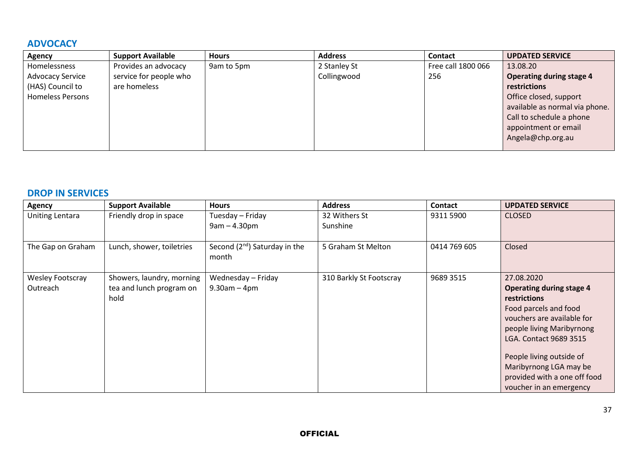### **ADVOCACY**

| <b>Agency</b>           | <b>Support Available</b> | <b>Hours</b> | <b>Address</b> | <b>Contact</b>     | <b>UPDATED SERVICE</b>          |
|-------------------------|--------------------------|--------------|----------------|--------------------|---------------------------------|
| Homelessness            | Provides an advocacy     | 9am to 5pm   | 2 Stanley St   | Free call 1800 066 | 13.08.20                        |
| <b>Advocacy Service</b> | service for people who   |              | Collingwood    | 256                | <b>Operating during stage 4</b> |
| (HAS) Council to        | are homeless             |              |                |                    | restrictions                    |
| <b>Homeless Persons</b> |                          |              |                |                    | Office closed, support          |
|                         |                          |              |                |                    | available as normal via phone.  |
|                         |                          |              |                |                    | Call to schedule a phone        |
|                         |                          |              |                |                    | appointment or email            |
|                         |                          |              |                |                    | Angela@chp.org.au               |
|                         |                          |              |                |                    |                                 |

#### **DROP IN SERVICES**

| <b>Agency</b>                | <b>Support Available</b>                                      | <b>Hours</b>                               | <b>Address</b>            | <b>Contact</b> | <b>UPDATED SERVICE</b>                                                                                                                                                                                                                                                                              |
|------------------------------|---------------------------------------------------------------|--------------------------------------------|---------------------------|----------------|-----------------------------------------------------------------------------------------------------------------------------------------------------------------------------------------------------------------------------------------------------------------------------------------------------|
| <b>Uniting Lentara</b>       | Friendly drop in space                                        | Tuesday - Friday<br>$9am - 4.30pm$         | 32 Withers St<br>Sunshine | 9311 5900      | <b>CLOSED</b>                                                                                                                                                                                                                                                                                       |
| The Gap on Graham            | Lunch, shower, toiletries                                     | Second $(2^{nd})$ Saturday in the<br>month | 5 Graham St Melton        | 0414 769 605   | Closed                                                                                                                                                                                                                                                                                              |
| Wesley Footscray<br>Outreach | Showers, laundry, morning<br>tea and lunch program on<br>hold | Wednesday - Friday<br>$9.30$ am $-4$ pm    | 310 Barkly St Footscray   | 9689 3515      | 27.08.2020<br><b>Operating during stage 4</b><br><b>restrictions</b><br>Food parcels and food<br>vouchers are available for<br>people living Maribyrnong<br>LGA. Contact 9689 3515<br>People living outside of<br>Maribyrnong LGA may be<br>provided with a one off food<br>voucher in an emergency |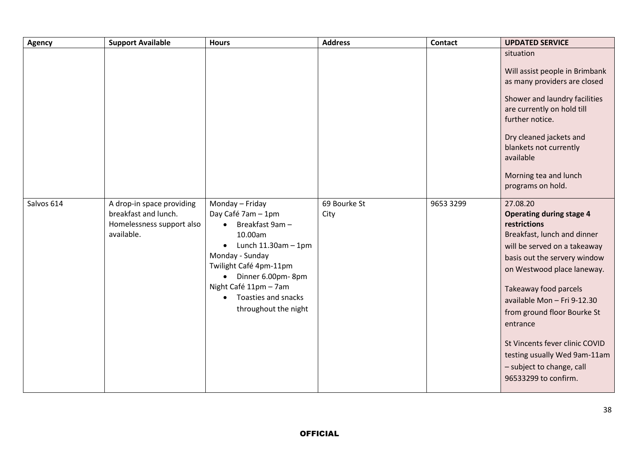| <b>Agency</b> | <b>Support Available</b>                                                                     | <b>Hours</b>                                                                                                                                                                                                                                                                     | <b>Address</b>       | Contact   | <b>UPDATED SERVICE</b>                                                                                                                                                                                                                                                                                                                                                                                             |
|---------------|----------------------------------------------------------------------------------------------|----------------------------------------------------------------------------------------------------------------------------------------------------------------------------------------------------------------------------------------------------------------------------------|----------------------|-----------|--------------------------------------------------------------------------------------------------------------------------------------------------------------------------------------------------------------------------------------------------------------------------------------------------------------------------------------------------------------------------------------------------------------------|
|               |                                                                                              |                                                                                                                                                                                                                                                                                  |                      |           | situation<br>Will assist people in Brimbank<br>as many providers are closed<br>Shower and laundry facilities<br>are currently on hold till<br>further notice.<br>Dry cleaned jackets and<br>blankets not currently<br>available<br>Morning tea and lunch<br>programs on hold.                                                                                                                                      |
| Salvos 614    | A drop-in space providing<br>breakfast and lunch.<br>Homelessness support also<br>available. | Monday - Friday<br>Day Café 7am - 1pm<br>Breakfast 9am -<br>$\bullet$<br>10.00am<br>Lunch $11.30$ am $-1$ pm<br>$\bullet$<br>Monday - Sunday<br>Twilight Café 4pm-11pm<br>Dinner 6.00pm-8pm<br>$\bullet$<br>Night Café 11pm - 7am<br>Toasties and snacks<br>throughout the night | 69 Bourke St<br>City | 9653 3299 | 27.08.20<br><b>Operating during stage 4</b><br>restrictions<br>Breakfast, lunch and dinner<br>will be served on a takeaway<br>basis out the servery window<br>on Westwood place laneway.<br>Takeaway food parcels<br>available Mon - Fri 9-12.30<br>from ground floor Bourke St<br>entrance<br>St Vincents fever clinic COVID<br>testing usually Wed 9am-11am<br>- subject to change, call<br>96533299 to confirm. |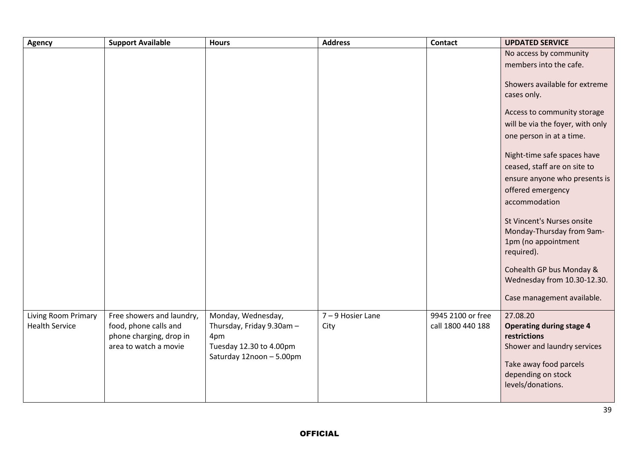| <b>Agency</b>              | <b>Support Available</b>                         | <b>Hours</b>                   | <b>Address</b>  | <b>Contact</b>    | <b>UPDATED SERVICE</b>                      |
|----------------------------|--------------------------------------------------|--------------------------------|-----------------|-------------------|---------------------------------------------|
|                            |                                                  |                                |                 |                   | No access by community                      |
|                            |                                                  |                                |                 |                   | members into the cafe.                      |
|                            |                                                  |                                |                 |                   | Showers available for extreme               |
|                            |                                                  |                                |                 |                   | cases only.                                 |
|                            |                                                  |                                |                 |                   |                                             |
|                            |                                                  |                                |                 |                   | Access to community storage                 |
|                            |                                                  |                                |                 |                   | will be via the foyer, with only            |
|                            |                                                  |                                |                 |                   | one person in at a time.                    |
|                            |                                                  |                                |                 |                   | Night-time safe spaces have                 |
|                            |                                                  |                                |                 |                   | ceased, staff are on site to                |
|                            |                                                  |                                |                 |                   | ensure anyone who presents is               |
|                            |                                                  |                                |                 |                   | offered emergency                           |
|                            |                                                  |                                |                 |                   | accommodation                               |
|                            |                                                  |                                |                 |                   |                                             |
|                            |                                                  |                                |                 |                   | St Vincent's Nurses onsite                  |
|                            |                                                  |                                |                 |                   | Monday-Thursday from 9am-                   |
|                            |                                                  |                                |                 |                   | 1pm (no appointment<br>required).           |
|                            |                                                  |                                |                 |                   |                                             |
|                            |                                                  |                                |                 |                   | Cohealth GP bus Monday &                    |
|                            |                                                  |                                |                 |                   | Wednesday from 10.30-12.30.                 |
|                            |                                                  |                                |                 |                   | Case management available.                  |
|                            |                                                  |                                |                 |                   |                                             |
| <b>Living Room Primary</b> | Free showers and laundry,                        | Monday, Wednesday,             | 7-9 Hosier Lane | 9945 2100 or free | 27.08.20                                    |
| <b>Health Service</b>      | food, phone calls and                            | Thursday, Friday 9.30am -      | City            | call 1800 440 188 | <b>Operating during stage 4</b>             |
|                            | phone charging, drop in<br>area to watch a movie | 4pm<br>Tuesday 12.30 to 4.00pm |                 |                   | restrictions<br>Shower and laundry services |
|                            |                                                  | Saturday 12noon - 5.00pm       |                 |                   |                                             |
|                            |                                                  |                                |                 |                   | Take away food parcels                      |
|                            |                                                  |                                |                 |                   | depending on stock                          |
|                            |                                                  |                                |                 |                   | levels/donations.                           |
|                            |                                                  |                                |                 |                   |                                             |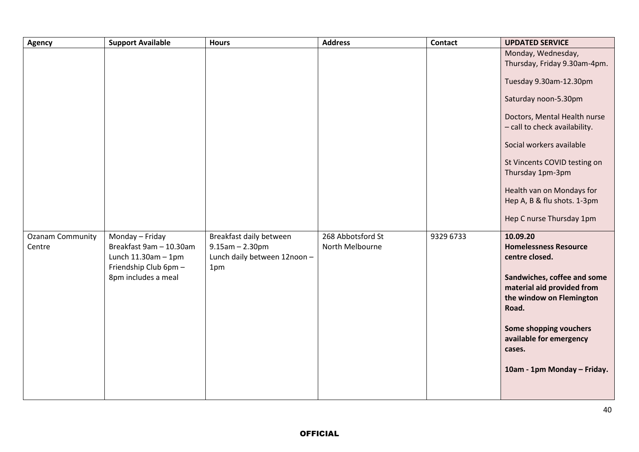| <b>Agency</b>                     | <b>Support Available</b>                                                                        | <b>Hours</b>                                                                            | <b>Address</b>                       | <b>Contact</b> | <b>UPDATED SERVICE</b>                                                                         |
|-----------------------------------|-------------------------------------------------------------------------------------------------|-----------------------------------------------------------------------------------------|--------------------------------------|----------------|------------------------------------------------------------------------------------------------|
|                                   |                                                                                                 |                                                                                         |                                      |                | Monday, Wednesday,<br>Thursday, Friday 9.30am-4pm.                                             |
|                                   |                                                                                                 |                                                                                         |                                      |                | Tuesday 9.30am-12.30pm                                                                         |
|                                   |                                                                                                 |                                                                                         |                                      |                | Saturday noon-5.30pm                                                                           |
|                                   |                                                                                                 |                                                                                         |                                      |                | Doctors, Mental Health nurse<br>- call to check availability.                                  |
|                                   |                                                                                                 |                                                                                         |                                      |                | Social workers available                                                                       |
|                                   |                                                                                                 |                                                                                         |                                      |                | St Vincents COVID testing on<br>Thursday 1pm-3pm                                               |
|                                   |                                                                                                 |                                                                                         |                                      |                | Health van on Mondays for<br>Hep A, B & flu shots. 1-3pm                                       |
|                                   |                                                                                                 |                                                                                         |                                      |                | Hep C nurse Thursday 1pm                                                                       |
| <b>Ozanam Community</b><br>Centre | Monday - Friday<br>Breakfast 9am - 10.30am<br>Lunch $11.30$ am $-1$ pm<br>Friendship Club 6pm - | Breakfast daily between<br>$9.15$ am $- 2.30$ pm<br>Lunch daily between 12noon -<br>1pm | 268 Abbotsford St<br>North Melbourne | 9329 6733      | 10.09.20<br><b>Homelessness Resource</b><br>centre closed.                                     |
|                                   | 8pm includes a meal                                                                             |                                                                                         |                                      |                | Sandwiches, coffee and some<br>material aid provided from<br>the window on Flemington<br>Road. |
|                                   |                                                                                                 |                                                                                         |                                      |                | Some shopping vouchers<br>available for emergency<br>cases.                                    |
|                                   |                                                                                                 |                                                                                         |                                      |                | 10am - 1pm Monday - Friday.                                                                    |
|                                   |                                                                                                 |                                                                                         |                                      |                |                                                                                                |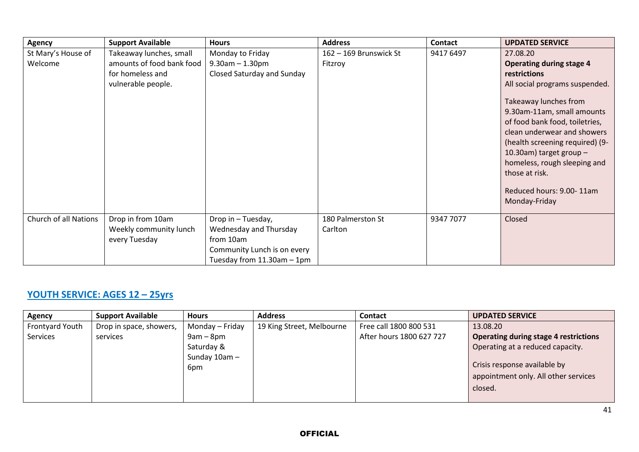| <b>Agency</b>                 | <b>Support Available</b>                                                                       | <b>Hours</b>                                                                                                                | <b>Address</b>                    | <b>Contact</b> | <b>UPDATED SERVICE</b>                                                                                                                                                                                                                                                                                                                                                               |
|-------------------------------|------------------------------------------------------------------------------------------------|-----------------------------------------------------------------------------------------------------------------------------|-----------------------------------|----------------|--------------------------------------------------------------------------------------------------------------------------------------------------------------------------------------------------------------------------------------------------------------------------------------------------------------------------------------------------------------------------------------|
| St Mary's House of<br>Welcome | Takeaway lunches, small<br>amounts of food bank food<br>for homeless and<br>vulnerable people. | Monday to Friday<br>$9.30$ am $- 1.30$ pm<br>Closed Saturday and Sunday                                                     | 162 - 169 Brunswick St<br>Fitzroy | 9417 6497      | 27.08.20<br><b>Operating during stage 4</b><br>restrictions<br>All social programs suspended.<br>Takeaway lunches from<br>9.30am-11am, small amounts<br>of food bank food, toiletries,<br>clean underwear and showers<br>(health screening required) (9-<br>10.30am) target group $-$<br>homeless, rough sleeping and<br>those at risk.<br>Reduced hours: 9.00-11am<br>Monday-Friday |
| Church of all Nations         | Drop in from 10am<br>Weekly community lunch<br>every Tuesday                                   | Drop in - Tuesday,<br>Wednesday and Thursday<br>from 10am<br>Community Lunch is on every<br>Tuesday from $11.30$ am $-1$ pm | 180 Palmerston St<br>Carlton      | 9347 7077      | Closed                                                                                                                                                                                                                                                                                                                                                                               |

# **YOUTH SERVICE: AGES 12 – 25yrs**

| Agency          | <b>Support Available</b> | <b>Hours</b>    | <b>Address</b>            | <b>Contact</b>           | <b>UPDATED SERVICE</b>                       |
|-----------------|--------------------------|-----------------|---------------------------|--------------------------|----------------------------------------------|
| Frontyard Youth | Drop in space, showers,  | Monday – Friday | 19 King Street, Melbourne | Free call 1800 800 531   | 13.08.20                                     |
| <b>Services</b> | services                 | $9am - 8pm$     |                           | After hours 1800 627 727 | <b>Operating during stage 4 restrictions</b> |
|                 |                          | Saturday &      |                           |                          | Operating at a reduced capacity.             |
|                 |                          | Sunday $10am -$ |                           |                          |                                              |
|                 |                          | 6pm             |                           |                          | Crisis response available by                 |
|                 |                          |                 |                           |                          | appointment only. All other services         |
|                 |                          |                 |                           |                          | closed.                                      |
|                 |                          |                 |                           |                          |                                              |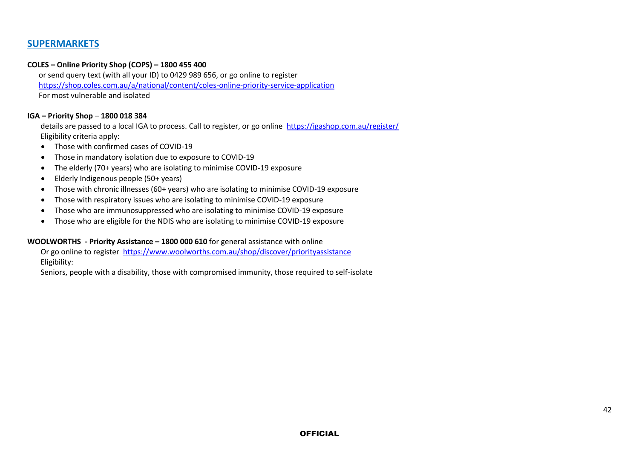#### **SUPERMARKETS**

#### **COLES – Online Priority Shop (COPS) – 1800 455 400**

 or send query text (with all your ID) to 0429 989 656, or go online to register <https://shop.coles.com.au/a/national/content/coles-online-priority-service-application> For most vulnerable and isolated

#### **IGA – Priority Shop** – **1800 018 384**

 details are passed to a local IGA to process. Call to register, or go online <https://igashop.com.au/register/> Eligibility criteria apply:

- Those with confirmed cases of COVID-19
- Those in mandatory isolation due to exposure to COVID-19
- The elderly (70+ years) who are isolating to minimise COVID-19 exposure
- Elderly Indigenous people (50+ years)
- Those with chronic illnesses (60+ years) who are isolating to minimise COVID-19 exposure
- Those with respiratory issues who are isolating to minimise COVID-19 exposure
- Those who are immunosuppressed who are isolating to minimise COVID-19 exposure
- Those who are eligible for the NDIS who are isolating to minimise COVID-19 exposure

#### **WOOLWORTHS - Priority Assistance – 1800 000 610** for general assistance with online

 Or go online to register <https://www.woolworths.com.au/shop/discover/priorityassistance> Eligibility:

Seniors, people with a disability, those with compromised immunity, those required to self-isolate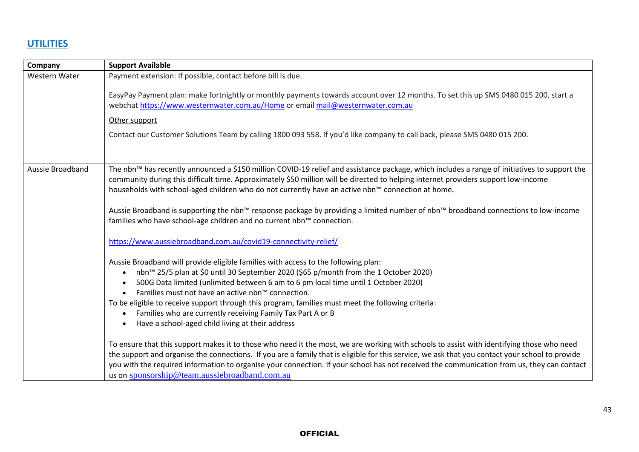# **UTILITIES**

| Company          | <b>Support Available</b>                                                                                                                                                                                                                                                                                                                                                                                                                                                                                                                                                                                        |
|------------------|-----------------------------------------------------------------------------------------------------------------------------------------------------------------------------------------------------------------------------------------------------------------------------------------------------------------------------------------------------------------------------------------------------------------------------------------------------------------------------------------------------------------------------------------------------------------------------------------------------------------|
| Western Water    | Payment extension: If possible, contact before bill is due.                                                                                                                                                                                                                                                                                                                                                                                                                                                                                                                                                     |
|                  | EasyPay Payment plan: make fortnightly or monthly payments towards account over 12 months. To set this up SMS 0480 015 200, start a<br>webchat https://www.westernwater.com.au/Home or email mail@westernwater.com.au                                                                                                                                                                                                                                                                                                                                                                                           |
|                  | Other support                                                                                                                                                                                                                                                                                                                                                                                                                                                                                                                                                                                                   |
|                  | Contact our Customer Solutions Team by calling 1800 093 558. If you'd like company to call back, please SMS 0480 015 200.                                                                                                                                                                                                                                                                                                                                                                                                                                                                                       |
| Aussie Broadband | The nbn™ has recently announced a \$150 million COVID-19 relief and assistance package, which includes a range of initiatives to support the<br>community during this difficult time. Approximately \$50 million will be directed to helping internet providers support low-income<br>households with school-aged children who do not currently have an active nbn™ connection at home.                                                                                                                                                                                                                         |
|                  | Aussie Broadband is supporting the nbn™ response package by providing a limited number of nbn™ broadband connections to low-income<br>families who have school-age children and no current nbn™ connection.                                                                                                                                                                                                                                                                                                                                                                                                     |
|                  | https://www.aussiebroadband.com.au/covid19-connectivity-relief/                                                                                                                                                                                                                                                                                                                                                                                                                                                                                                                                                 |
|                  | Aussie Broadband will provide eligible families with access to the following plan:<br>nbn™ 25/5 plan at \$0 until 30 September 2020 (\$65 p/month from the 1 October 2020)<br>$\bullet$<br>500G Data limited (unlimited between 6 am to 6 pm local time until 1 October 2020)<br>$\bullet$<br>Families must not have an active nbn™ connection.<br>$\bullet$<br>To be eligible to receive support through this program, families must meet the following criteria:<br>Families who are currently receiving Family Tax Part A or B<br>$\bullet$<br>Have a school-aged child living at their address<br>$\bullet$ |
|                  | To ensure that this support makes it to those who need it the most, we are working with schools to assist with identifying those who need<br>the support and organise the connections. If you are a family that is eligible for this service, we ask that you contact your school to provide<br>you with the required information to organise your connection. If your school has not received the communication from us, they can contact<br>us on sponsorship@team.aussiebroadband.com.au                                                                                                                     |